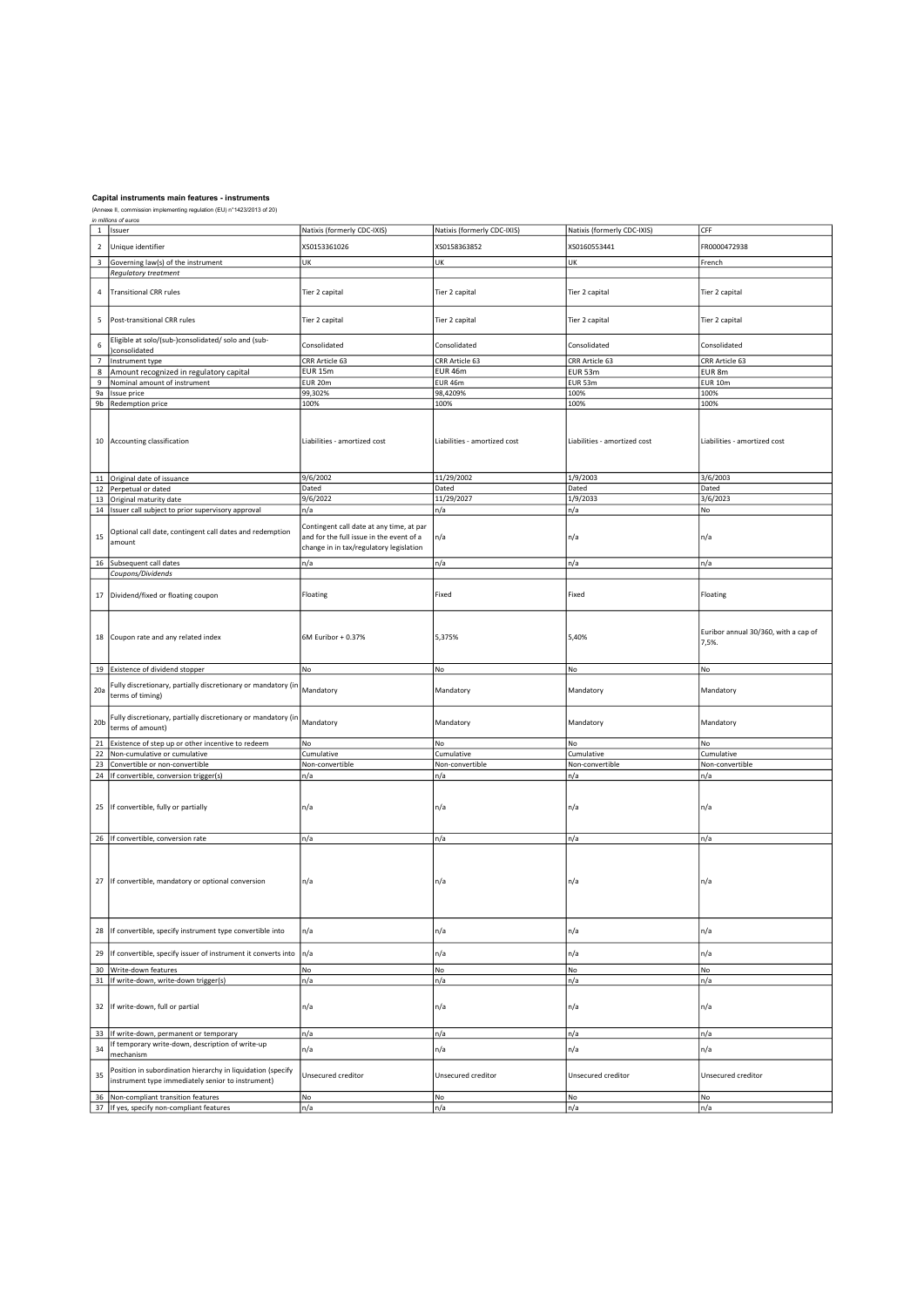|                 | in millions of euros                                                              |                                          |                              |                              |                                      |  |  |
|-----------------|-----------------------------------------------------------------------------------|------------------------------------------|------------------------------|------------------------------|--------------------------------------|--|--|
|                 | 1 Issuer                                                                          | Natixis (formerly CDC-IXIS)              | Natixis (formerly CDC-IXIS)  | Natixis (formerly CDC-IXIS)  | CFF                                  |  |  |
|                 |                                                                                   |                                          |                              |                              |                                      |  |  |
| $\mathbf 2$     | Unique identifier                                                                 | XS0153361026                             | XS0158363852                 | XS0160553441                 | FR0000472938                         |  |  |
|                 |                                                                                   |                                          |                              |                              |                                      |  |  |
| $\mathsf 3$     | Governing law(s) of the instrument                                                | UK                                       | UK                           | UK                           | French                               |  |  |
|                 | Regulatory treatment                                                              |                                          |                              |                              |                                      |  |  |
|                 |                                                                                   |                                          |                              |                              |                                      |  |  |
| 4               | <b>Transitional CRR rules</b>                                                     | Tier 2 capital                           | Tier 2 capital               | Tier 2 capital               | Tier 2 capital                       |  |  |
|                 |                                                                                   |                                          |                              |                              |                                      |  |  |
|                 |                                                                                   |                                          |                              |                              |                                      |  |  |
|                 |                                                                                   |                                          |                              |                              |                                      |  |  |
| 5               | Post-transitional CRR rules                                                       | Tier 2 capital                           | Tier 2 capital               | Tier 2 capital               | Tier 2 capital                       |  |  |
|                 |                                                                                   |                                          |                              |                              |                                      |  |  |
| $\,$ 6 $\,$     | Eligible at solo/(sub-)consolidated/ solo and (sub-                               |                                          |                              |                              |                                      |  |  |
|                 | consolidated                                                                      | Consolidated                             | Consolidated                 | Consolidated                 | Consolidated                         |  |  |
| $\overline{7}$  | Instrument type                                                                   | CRR Article 63                           | CRR Article 63               | CRR Article 63               | CRR Article 63                       |  |  |
|                 |                                                                                   |                                          |                              |                              |                                      |  |  |
| $\bf 8$         | Amount recognized in regulatory capital                                           | <b>EUR 15m</b>                           | EUR 46m                      | EUR 53m                      | EUR 8m                               |  |  |
| 9               | Nominal amount of instrument                                                      | EUR 20m                                  | <b>EUR 46m</b>               | EUR 53m                      | <b>EUR 10m</b>                       |  |  |
| 9a              | Issue price                                                                       | 99,302%                                  | 98,4209%                     | 100%                         | 100%                                 |  |  |
|                 |                                                                                   |                                          |                              |                              |                                      |  |  |
|                 | 9b Redemption price                                                               | 100%                                     | 100%                         | 100%                         | 100%                                 |  |  |
|                 |                                                                                   |                                          |                              |                              |                                      |  |  |
|                 |                                                                                   |                                          |                              |                              |                                      |  |  |
|                 |                                                                                   |                                          |                              |                              |                                      |  |  |
|                 | 10 Accounting classification                                                      | Liabilities - amortized cost             | Liabilities - amortized cost | Liabilities - amortized cost | Liabilities - amortized cost         |  |  |
|                 |                                                                                   |                                          |                              |                              |                                      |  |  |
|                 |                                                                                   |                                          |                              |                              |                                      |  |  |
|                 |                                                                                   |                                          |                              |                              |                                      |  |  |
|                 |                                                                                   |                                          | 11/29/2002                   |                              |                                      |  |  |
|                 | 11 Original date of issuance                                                      | 9/6/2002                                 |                              | 1/9/2003                     | 3/6/2003                             |  |  |
|                 | 12 Perpetual or dated                                                             | Dated                                    | Dated                        | Dated                        | Dated                                |  |  |
|                 | 13 Original maturity date                                                         | 9/6/2022                                 | 11/29/2027                   | 1/9/2033                     | 3/6/2023                             |  |  |
|                 | 14 Issuer call subject to prior supervisory approval                              | n/a                                      | n/a                          | n/a                          | No                                   |  |  |
|                 |                                                                                   |                                          |                              |                              |                                      |  |  |
|                 |                                                                                   | Contingent call date at any time, at par |                              |                              |                                      |  |  |
|                 | Optional call date, contingent call dates and redemption                          |                                          |                              |                              |                                      |  |  |
| 15              | amount                                                                            | and for the full issue in the event of a | n/a                          | n/a                          | n/a                                  |  |  |
|                 |                                                                                   | change in in tax/regulatory legislation  |                              |                              |                                      |  |  |
|                 |                                                                                   |                                          |                              |                              |                                      |  |  |
|                 | 16 Subsequent call dates                                                          | n/a                                      | n/a                          | n/a                          | n/a                                  |  |  |
|                 | Coupons/Dividends                                                                 |                                          |                              |                              |                                      |  |  |
|                 |                                                                                   |                                          |                              |                              |                                      |  |  |
|                 |                                                                                   |                                          |                              |                              |                                      |  |  |
| 17              | Dividend/fixed or floating coupon                                                 | Floating                                 | Fixed                        | Fixed                        | Floating                             |  |  |
|                 |                                                                                   |                                          |                              |                              |                                      |  |  |
|                 |                                                                                   |                                          |                              |                              |                                      |  |  |
|                 |                                                                                   |                                          |                              |                              |                                      |  |  |
|                 |                                                                                   |                                          |                              |                              | Euribor annual 30/360, with a cap of |  |  |
| 18              | Coupon rate and any related index                                                 | 6M Euribor + 0.37%                       | 5,375%                       | 5,40%                        |                                      |  |  |
|                 |                                                                                   |                                          |                              |                              | 7,5%.                                |  |  |
|                 |                                                                                   |                                          |                              |                              |                                      |  |  |
|                 |                                                                                   |                                          |                              |                              |                                      |  |  |
|                 | 19 Existence of dividend stopper                                                  | No                                       | No                           | No                           | No                                   |  |  |
|                 |                                                                                   |                                          |                              |                              |                                      |  |  |
|                 |                                                                                   |                                          |                              |                              |                                      |  |  |
|                 | Fully discretionary, partially discretionary or mandatory (in                     |                                          |                              |                              |                                      |  |  |
| 20a             | terms of timing)                                                                  | Mandatory                                | Mandatory                    | Mandatory                    | Mandatory                            |  |  |
|                 |                                                                                   |                                          |                              |                              |                                      |  |  |
|                 |                                                                                   |                                          |                              |                              |                                      |  |  |
|                 | Fully discretionary, partially discretionary or mandatory (in                     |                                          |                              |                              |                                      |  |  |
| 20 <sub>b</sub> | terms of amount)                                                                  | Mandatory                                | Mandatory                    | Mandatory                    | Mandatory                            |  |  |
|                 |                                                                                   |                                          |                              |                              |                                      |  |  |
|                 | 21 Existence of step up or other incentive to redeem                              | No                                       | No                           | No                           | No                                   |  |  |
|                 | 22 Non-cumulative or cumulative                                                   | Cumulative                               | Cumulative                   | Cumulative                   | Cumulative                           |  |  |
|                 |                                                                                   |                                          |                              |                              |                                      |  |  |
| 23              | Convertible or non-convertible                                                    | Non-convertible                          | Non-convertible              | Non-convertible              | Non-convertible                      |  |  |
|                 | 24   If convertible, conversion trigger(s)                                        | n/a                                      | n/a                          | n/a                          | n/a                                  |  |  |
|                 |                                                                                   |                                          |                              |                              |                                      |  |  |
|                 |                                                                                   |                                          |                              |                              |                                      |  |  |
|                 |                                                                                   |                                          |                              |                              |                                      |  |  |
| 25              | If convertible, fully or partially                                                | n/a                                      | n/a                          | n/a                          | n/a                                  |  |  |
|                 |                                                                                   |                                          |                              |                              |                                      |  |  |
|                 |                                                                                   |                                          |                              |                              |                                      |  |  |
|                 | 26   If convertible, conversion rate                                              | n/a                                      | n/a                          | n/a                          | n/a                                  |  |  |
|                 |                                                                                   |                                          |                              |                              |                                      |  |  |
|                 |                                                                                   |                                          |                              |                              |                                      |  |  |
|                 |                                                                                   |                                          |                              |                              |                                      |  |  |
|                 |                                                                                   |                                          |                              |                              |                                      |  |  |
| 27              | If convertible, mandatory or optional conversion                                  | n/a                                      | n/a                          | n/a                          | n/a                                  |  |  |
|                 |                                                                                   |                                          |                              |                              |                                      |  |  |
|                 |                                                                                   |                                          |                              |                              |                                      |  |  |
|                 |                                                                                   |                                          |                              |                              |                                      |  |  |
|                 |                                                                                   |                                          |                              |                              |                                      |  |  |
|                 |                                                                                   |                                          |                              |                              |                                      |  |  |
| 28              | If convertible, specify instrument type convertible into                          | n/a                                      | n/a                          | n/a                          | n/a                                  |  |  |
|                 |                                                                                   |                                          |                              |                              |                                      |  |  |
|                 |                                                                                   |                                          |                              |                              |                                      |  |  |
| 29              | If convertible, specify issuer of instrument it converts into                     | n/a                                      | n/a                          | n/a                          | n/a                                  |  |  |
|                 |                                                                                   |                                          |                              |                              |                                      |  |  |
| 30              | Write-down features                                                               | No                                       | No                           | No                           | No                                   |  |  |
|                 | 31   If write-down, write-down trigger(s)                                         | n/a                                      | n/a                          | n/a                          | n/a                                  |  |  |
|                 |                                                                                   |                                          |                              |                              |                                      |  |  |
|                 |                                                                                   |                                          |                              |                              |                                      |  |  |
|                 |                                                                                   |                                          |                              |                              |                                      |  |  |
| 32              | If write-down, full or partial                                                    | n/a                                      | n/a                          | n/a                          | n/a                                  |  |  |
|                 |                                                                                   |                                          |                              |                              |                                      |  |  |
|                 |                                                                                   |                                          |                              |                              |                                      |  |  |
|                 | 33 If write-down, permanent or temporary                                          | n/a                                      | n/a                          | n/a                          | n/a                                  |  |  |
|                 | If temporary write-down, description of write-up                                  |                                          |                              |                              |                                      |  |  |
| 34              | mechanism                                                                         | n/a                                      | n/a                          | n/a                          | n/a                                  |  |  |
|                 |                                                                                   |                                          |                              |                              |                                      |  |  |
|                 | Position in subordination hierarchy in liquidation (specify                       |                                          |                              |                              |                                      |  |  |
| 35              | instrument type immediately senior to instrument)                                 | Unsecured creditor                       | Unsecured creditor           | Unsecured creditor           | Unsecured creditor                   |  |  |
|                 |                                                                                   |                                          |                              |                              |                                      |  |  |
|                 | 36 Non-compliant transition features<br>37 If yes, specify non-compliant features | No<br>n/a                                | No<br>n/a                    | No<br>n/a                    | No<br>n/a                            |  |  |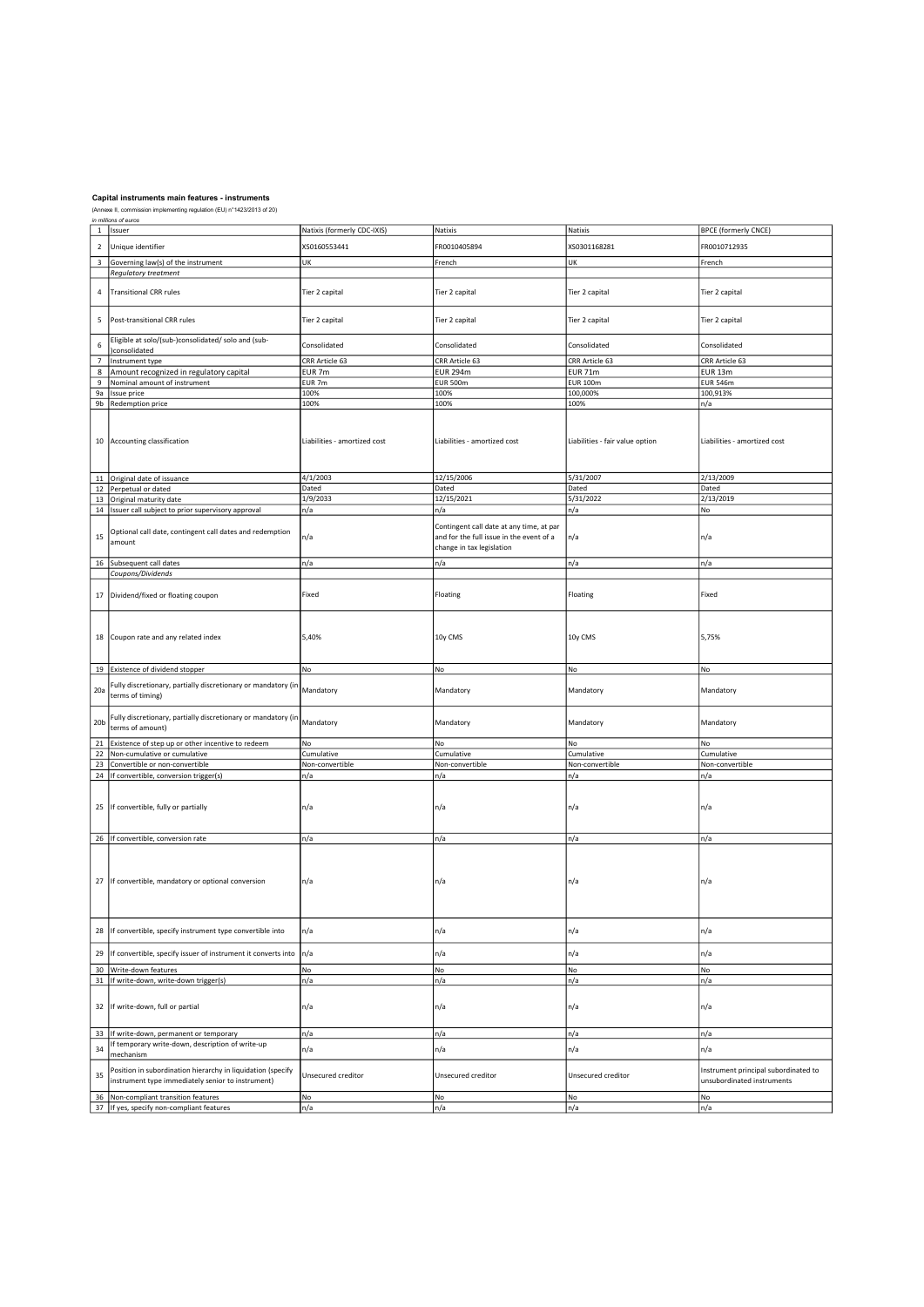| in millions of euros     |                                                                                |                              |                                          |                                 |                                      |
|--------------------------|--------------------------------------------------------------------------------|------------------------------|------------------------------------------|---------------------------------|--------------------------------------|
|                          | 1 Issuer                                                                       | Natixis (formerly CDC-IXIS)  | Natixis                                  | Natixis                         | <b>BPCE (formerly CNCE)</b>          |
| $\mathbf 2$              | Unique identifier                                                              | XS0160553441                 | FR0010405894                             | XS0301168281                    | FR0010712935                         |
|                          |                                                                                |                              |                                          |                                 |                                      |
| $\overline{\mathbf{3}}$  | Governing law(s) of the instrument                                             | UK                           | French                                   | UK                              | French                               |
|                          | Regulatory treatment                                                           |                              |                                          |                                 |                                      |
|                          |                                                                                |                              |                                          |                                 |                                      |
| 4                        | <b>Transitional CRR rules</b>                                                  | Tier 2 capital               | Tier 2 capital                           | Tier 2 capital                  | Tier 2 capital                       |
|                          |                                                                                |                              |                                          |                                 |                                      |
|                          |                                                                                |                              |                                          |                                 |                                      |
| 5                        | Post-transitional CRR rules                                                    | Tier 2 capital               | Tier 2 capital                           | Tier 2 capital                  | Tier 2 capital                       |
|                          |                                                                                |                              |                                          |                                 |                                      |
| 6                        | Eligible at solo/(sub-)consolidated/ solo and (sub-                            | Consolidated                 | Consolidated                             | Consolidated                    | Consolidated                         |
|                          | )consolidated                                                                  |                              |                                          |                                 |                                      |
| $\overline{\phantom{a}}$ | Instrument type                                                                | CRR Article 63               | CRR Article 63                           | CRR Article 63                  | CRR Article 63                       |
| 8                        | Amount recognized in regulatory capital                                        | EUR 7m                       | <b>EUR 294m</b>                          | <b>EUR 71m</b>                  | <b>EUR 13m</b>                       |
| 9 <sup>1</sup>           | Nominal amount of instrument                                                   | EUR 7m                       | <b>EUR 500m</b>                          | <b>EUR 100m</b>                 | <b>EUR 546m</b>                      |
|                          | 9a   Issue price                                                               | 100%                         | 100%                                     | 100,000%                        | 100,913%                             |
|                          | 9b Redemption price                                                            | 100%                         | 100%                                     | 100%                            | n/a                                  |
|                          |                                                                                |                              |                                          |                                 |                                      |
|                          |                                                                                |                              |                                          |                                 |                                      |
|                          |                                                                                |                              |                                          |                                 |                                      |
|                          | 10 Accounting classification                                                   | Liabilities - amortized cost | Liabilities - amortized cost             | Liabilities - fair value option | Liabilities - amortized cost         |
|                          |                                                                                |                              |                                          |                                 |                                      |
|                          |                                                                                |                              |                                          |                                 |                                      |
|                          |                                                                                |                              |                                          |                                 |                                      |
|                          | 11 Original date of issuance                                                   | 4/1/2003                     | 12/15/2006                               | 5/31/2007                       | 2/13/2009                            |
|                          | 12 Perpetual or dated                                                          | Dated                        | Dated                                    | Dated                           | Dated                                |
|                          | 13 Original maturity date                                                      | 1/9/2033                     | 12/15/2021                               | 5/31/2022                       | 2/13/2019                            |
|                          | 14 Issuer call subject to prior supervisory approval                           | n/a                          | n/a                                      | n/a                             | No                                   |
|                          |                                                                                |                              |                                          |                                 |                                      |
|                          | Optional call date, contingent call dates and redemption                       |                              | Contingent call date at any time, at par |                                 |                                      |
| 15                       | amount                                                                         | n/a                          | and for the full issue in the event of a | n/a                             | n/a                                  |
|                          |                                                                                |                              | change in tax legislation                |                                 |                                      |
|                          | 16 Subsequent call dates                                                       | n/a                          | n/a                                      | n/a                             | n/a                                  |
|                          | Coupons/Dividends                                                              |                              |                                          |                                 |                                      |
|                          |                                                                                |                              |                                          |                                 |                                      |
|                          | Dividend/fixed or floating coupon                                              | Fixed                        | Floating                                 | Floating                        | Fixed                                |
| 17                       |                                                                                |                              |                                          |                                 |                                      |
|                          |                                                                                |                              |                                          |                                 |                                      |
|                          |                                                                                |                              |                                          |                                 |                                      |
|                          |                                                                                |                              |                                          |                                 |                                      |
|                          | 18 Coupon rate and any related index                                           | 5,40%                        | 10y CMS                                  | 10y CMS                         | 5,75%                                |
|                          |                                                                                |                              |                                          |                                 |                                      |
|                          |                                                                                |                              |                                          |                                 |                                      |
|                          |                                                                                |                              |                                          |                                 |                                      |
|                          | 19 Existence of dividend stopper                                               | No                           | No                                       | No                              | No                                   |
|                          |                                                                                |                              |                                          |                                 |                                      |
| 20a                      | Fully discretionary, partially discretionary or mandatory (in                  | Mandatory                    | Mandatory                                | Mandatory                       | Mandatory                            |
|                          | terms of timing)                                                               |                              |                                          |                                 |                                      |
|                          |                                                                                |                              |                                          |                                 |                                      |
| 20 <sub>b</sub>          | Fully discretionary, partially discretionary or mandatory (in                  |                              |                                          |                                 |                                      |
|                          | terms of amount)                                                               | Mandatory                    | Mandatory                                | Mandatory                       | Mandatory                            |
|                          |                                                                                |                              |                                          |                                 |                                      |
|                          | 21 Existence of step up or other incentive to redeem                           | No                           | No                                       | No                              | No                                   |
|                          | 22 Non-cumulative or cumulative                                                | Cumulative                   | Cumulative                               | Cumulative                      | Cumulative                           |
|                          | 23 Convertible or non-convertible                                              | Non-convertible              | Non-convertible                          | Non-convertible                 | Non-convertible                      |
|                          | 24   If convertible, conversion trigger(s)                                     | n/a                          | n/a                                      | n/a                             | n/a                                  |
|                          |                                                                                |                              |                                          |                                 |                                      |
|                          |                                                                                |                              |                                          |                                 |                                      |
|                          | 25 If convertible, fully or partially                                          | n/a                          | n/a                                      | n/a                             | n/a                                  |
|                          |                                                                                |                              |                                          |                                 |                                      |
|                          |                                                                                |                              |                                          |                                 |                                      |
|                          | 26 If convertible, conversion rate                                             | n/a                          | n/a                                      | n/a                             | n/a                                  |
|                          |                                                                                |                              |                                          |                                 |                                      |
|                          |                                                                                |                              |                                          |                                 |                                      |
|                          |                                                                                |                              |                                          |                                 |                                      |
| 27                       | If convertible, mandatory or optional conversion                               | n/a                          | n/a                                      | n/a                             | n/a                                  |
|                          |                                                                                |                              |                                          |                                 |                                      |
|                          |                                                                                |                              |                                          |                                 |                                      |
|                          |                                                                                |                              |                                          |                                 |                                      |
|                          |                                                                                |                              |                                          |                                 |                                      |
| 28                       | If convertible, specify instrument type convertible into                       | n/a                          | n/a                                      | n/a                             | n/a                                  |
|                          |                                                                                |                              |                                          |                                 |                                      |
| 29                       |                                                                                | n/a                          |                                          |                                 |                                      |
|                          | If convertible, specify issuer of instrument it converts into                  |                              | n/a                                      | n/a                             | n/a                                  |
| 30                       | Write-down features                                                            | No                           | No                                       | No                              | No                                   |
|                          | 31   If write-down, write-down trigger(s)                                      | n/a                          | n/a                                      | n/a                             | n/a                                  |
|                          |                                                                                |                              |                                          |                                 |                                      |
|                          |                                                                                |                              |                                          |                                 |                                      |
| 32                       | If write-down, full or partial                                                 | n/a                          | n/a                                      | n/a                             | n/a                                  |
|                          |                                                                                |                              |                                          |                                 |                                      |
|                          |                                                                                |                              |                                          |                                 |                                      |
| 33                       | If write-down, permanent or temporary                                          | n/a                          | n/a                                      | n/a                             | n/a                                  |
| 34                       | If temporary write-down, description of write-up                               | n/a                          | n/a                                      | n/a                             | n/a                                  |
|                          | mechanism                                                                      |                              |                                          |                                 |                                      |
|                          | Position in subordination hierarchy in liquidation (specify                    |                              |                                          |                                 | Instrument principal subordinated to |
| 35                       | instrument type immediately senior to instrument)                              | Unsecured creditor           | Unsecured creditor                       | Unsecured creditor              | unsubordinated instruments           |
|                          |                                                                                |                              |                                          |                                 |                                      |
| 36                       | Non-compliant transition features<br>37 If yes, specify non-compliant features | No<br>n/a                    | No<br>n/a                                | No<br>n/a                       | No<br>n/a                            |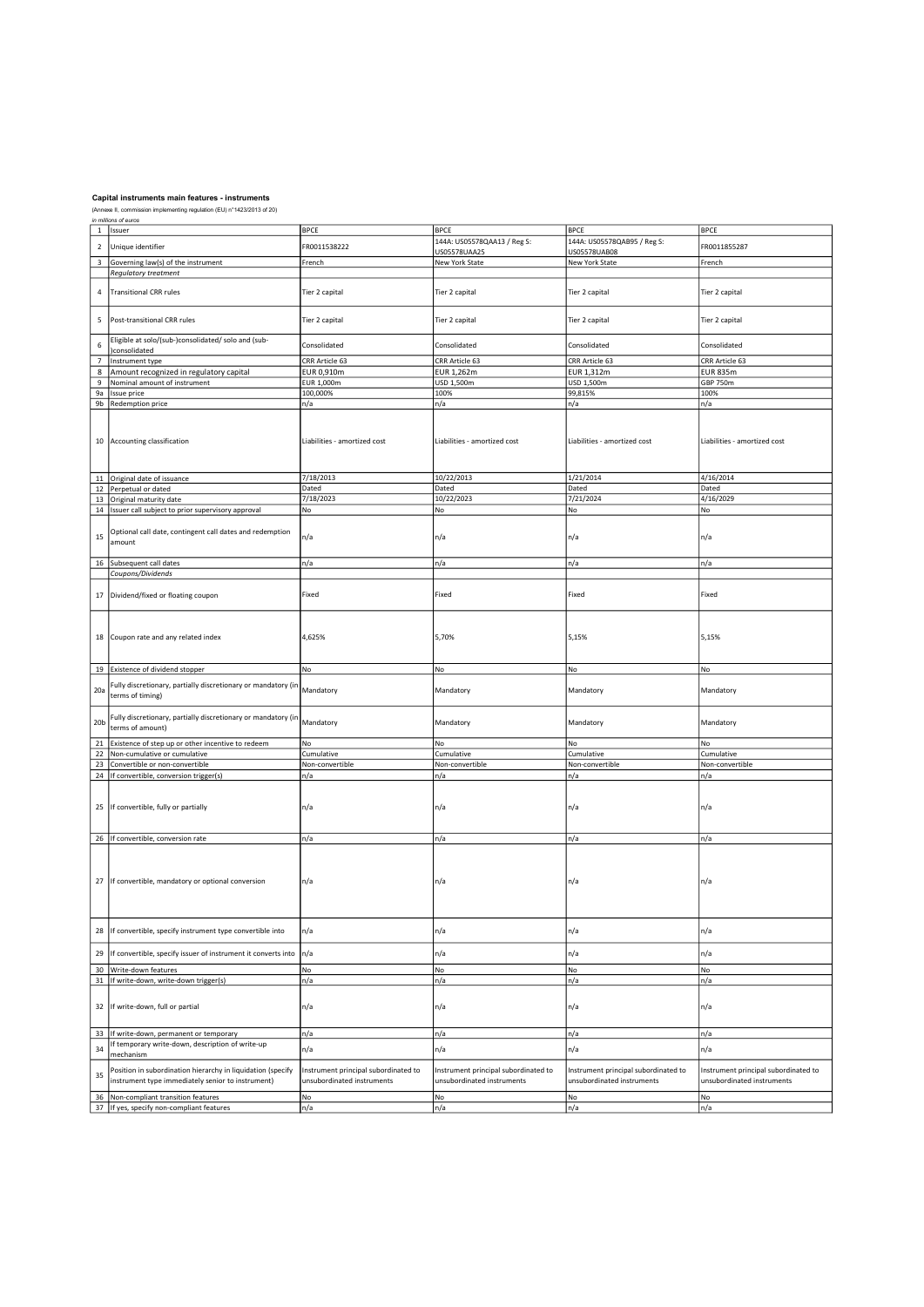| $\mathbf 1$               | Issuer                                                        | <b>BPCE</b>                          | <b>BPCE</b>                          | <b>BPCE</b>                          | <b>BPCE</b>                          |
|---------------------------|---------------------------------------------------------------|--------------------------------------|--------------------------------------|--------------------------------------|--------------------------------------|
|                           |                                                               |                                      | 144A: US05578QAA13 / Reg S:          | 144A: US05578QAB95 / Reg S:          |                                      |
| $\overline{2}$            | Unique identifier                                             | FR0011538222                         |                                      |                                      | FR0011855287                         |
|                           |                                                               |                                      | US05578UAA25                         | US05578UAB08                         |                                      |
| $\ensuremath{\mathsf{3}}$ | Governing law(s) of the instrument                            | French                               | New York State                       | New York State                       | French                               |
|                           |                                                               |                                      |                                      |                                      |                                      |
|                           | Regulatory treatment                                          |                                      |                                      |                                      |                                      |
|                           |                                                               |                                      |                                      |                                      |                                      |
| 4                         | <b>Transitional CRR rules</b>                                 | Tier 2 capital                       | Tier 2 capital                       | Tier 2 capital                       | Tier 2 capital                       |
|                           |                                                               |                                      |                                      |                                      |                                      |
|                           |                                                               |                                      |                                      |                                      |                                      |
|                           |                                                               |                                      |                                      |                                      |                                      |
| 5                         | Post-transitional CRR rules                                   | Tier 2 capital                       | Tier 2 capital                       | Tier 2 capital                       | Tier 2 capital                       |
|                           |                                                               |                                      |                                      |                                      |                                      |
|                           |                                                               |                                      |                                      |                                      |                                      |
| $\boldsymbol{6}$          | Eligible at solo/(sub-)consolidated/ solo and (sub-           | Consolidated                         | Consolidated                         | Consolidated                         | Consolidated                         |
|                           | )consolidated                                                 |                                      |                                      |                                      |                                      |
| $\overline{\phantom{a}}$  | Instrument type                                               | CRR Article 63                       | CRR Article 63                       | CRR Article 63                       | CRR Article 63                       |
|                           |                                                               |                                      |                                      |                                      |                                      |
| 8                         | Amount recognized in regulatory capital                       | EUR 0,910m                           | EUR 1,262m                           | EUR 1,312m                           | <b>EUR 835m</b>                      |
| 9                         | Nominal amount of instrument                                  | EUR 1,000m                           | USD 1,500m                           | USD 1,500m                           | GBP 750m                             |
|                           |                                                               | 100,000%                             | 100%                                 | 99,815%                              | 100%                                 |
| 9a                        | Issue price                                                   |                                      |                                      |                                      |                                      |
|                           | 9b Redemption price                                           | n/a                                  | n/a                                  | n/a                                  | n/a                                  |
|                           |                                                               |                                      |                                      |                                      |                                      |
|                           |                                                               |                                      |                                      |                                      |                                      |
|                           |                                                               |                                      |                                      |                                      |                                      |
|                           |                                                               |                                      |                                      |                                      |                                      |
|                           | 10 Accounting classification                                  | Liabilities - amortized cost         | Liabilities - amortized cost         | Liabilities - amortized cost         | Liabilities - amortized cost         |
|                           |                                                               |                                      |                                      |                                      |                                      |
|                           |                                                               |                                      |                                      |                                      |                                      |
|                           |                                                               |                                      |                                      |                                      |                                      |
|                           |                                                               | 7/18/2013                            | 10/22/2013                           | 1/21/2014                            | 4/16/2014                            |
|                           | 11 Original date of issuance                                  |                                      |                                      |                                      |                                      |
|                           | 12 Perpetual or dated                                         | Dated                                | Dated                                | Dated                                | Dated                                |
|                           | 13 Original maturity date                                     | 7/18/2023                            | 10/22/2023                           | 7/21/2024                            | 4/16/2029                            |
|                           |                                                               |                                      |                                      |                                      |                                      |
|                           | 14 Issuer call subject to prior supervisory approval          | No                                   | No                                   | No                                   | No                                   |
|                           |                                                               |                                      |                                      |                                      |                                      |
|                           |                                                               |                                      |                                      |                                      |                                      |
| 15                        | Optional call date, contingent call dates and redemption      | n/a                                  | n/a                                  | n/a                                  | n/a                                  |
|                           | amount                                                        |                                      |                                      |                                      |                                      |
|                           |                                                               |                                      |                                      |                                      |                                      |
|                           |                                                               |                                      |                                      |                                      |                                      |
|                           | 16 Subsequent call dates                                      | n/a                                  | n/a                                  | n/a                                  | n/a                                  |
|                           | Coupons/Dividends                                             |                                      |                                      |                                      |                                      |
|                           |                                                               |                                      |                                      |                                      |                                      |
|                           |                                                               |                                      |                                      |                                      |                                      |
|                           | 17 Dividend/fixed or floating coupon                          | Fixed                                | Fixed                                | Fixed                                | Fixed                                |
|                           |                                                               |                                      |                                      |                                      |                                      |
|                           |                                                               |                                      |                                      |                                      |                                      |
|                           |                                                               |                                      |                                      |                                      |                                      |
|                           |                                                               |                                      |                                      |                                      |                                      |
|                           |                                                               |                                      |                                      |                                      |                                      |
|                           | 18 Coupon rate and any related index                          | 4,625%                               | 5,70%                                | 5,15%                                | 5,15%                                |
|                           |                                                               |                                      |                                      |                                      |                                      |
|                           |                                                               |                                      |                                      |                                      |                                      |
|                           |                                                               |                                      |                                      |                                      |                                      |
|                           | 19 Existence of dividend stopper                              | No                                   | No                                   | No                                   | No                                   |
|                           |                                                               |                                      |                                      |                                      |                                      |
|                           | Fully discretionary, partially discretionary or mandatory (in | Mandatory                            | Mandatory                            | Mandatory                            | Mandatory                            |
|                           |                                                               |                                      |                                      |                                      |                                      |
| 20a                       |                                                               |                                      |                                      |                                      |                                      |
|                           | terms of timing)                                              |                                      |                                      |                                      |                                      |
|                           |                                                               |                                      |                                      |                                      |                                      |
|                           |                                                               |                                      |                                      |                                      |                                      |
| 20 <sub>b</sub>           | Fully discretionary, partially discretionary or mandatory (in | Mandatory                            | Mandatory                            | Mandatory                            | Mandatory                            |
|                           | terms of amount)                                              |                                      |                                      |                                      |                                      |
|                           |                                                               |                                      |                                      |                                      |                                      |
| 21                        | Existence of step up or other incentive to redeem             | No                                   | No                                   | No                                   | No                                   |
|                           | 22 Non-cumulative or cumulative                               | Cumulative                           | Cumulative                           | Cumulative                           | Cumulative                           |
|                           |                                                               |                                      |                                      |                                      |                                      |
|                           | 23 Convertible or non-convertible                             | Non-convertible                      | Non-convertible                      | Non-convertible                      | Non-convertible                      |
|                           | 24 If convertible, conversion trigger(s)                      | n/a                                  | n/a                                  | n/a                                  | n/a                                  |
|                           |                                                               |                                      |                                      |                                      |                                      |
|                           |                                                               |                                      |                                      |                                      |                                      |
|                           |                                                               |                                      |                                      |                                      |                                      |
|                           | 25   If convertible, fully or partially                       | n/a                                  | n/a                                  | n/a                                  | n/a                                  |
|                           |                                                               |                                      |                                      |                                      |                                      |
|                           |                                                               |                                      |                                      |                                      |                                      |
|                           |                                                               |                                      |                                      |                                      |                                      |
|                           | 26 If convertible, conversion rate                            | n/a                                  | n/a                                  | n/a                                  | n/a                                  |
|                           |                                                               |                                      |                                      |                                      |                                      |
|                           |                                                               |                                      |                                      |                                      |                                      |
|                           |                                                               |                                      |                                      |                                      |                                      |
|                           |                                                               |                                      |                                      |                                      |                                      |
|                           | 27 If convertible, mandatory or optional conversion           |                                      |                                      |                                      |                                      |
|                           |                                                               | n/a                                  | n/a                                  | n/a                                  | n/a                                  |
|                           |                                                               |                                      |                                      |                                      |                                      |
|                           |                                                               |                                      |                                      |                                      |                                      |
|                           |                                                               |                                      |                                      |                                      |                                      |
|                           |                                                               |                                      |                                      |                                      |                                      |
|                           |                                                               |                                      |                                      |                                      |                                      |
| 28                        | If convertible, specify instrument type convertible into      | n/a                                  | n/a                                  | n/a                                  | n/a                                  |
|                           |                                                               |                                      |                                      |                                      |                                      |
|                           |                                                               |                                      |                                      |                                      |                                      |
| 29                        | If convertible, specify issuer of instrument it converts into | n/a                                  | n/a                                  | n/a                                  | n/a                                  |
|                           |                                                               |                                      |                                      |                                      |                                      |
| 30                        | Write-down features                                           | No                                   | No                                   | No                                   | No                                   |
| 31                        | If write-down, write-down trigger(s)                          | n/a                                  | n/a                                  | n/a                                  | n/a                                  |
|                           |                                                               |                                      |                                      |                                      |                                      |
|                           |                                                               |                                      |                                      |                                      |                                      |
|                           |                                                               |                                      |                                      |                                      |                                      |
|                           | 32 If write-down, full or partial                             | n/a                                  | n/a                                  | n/a                                  | n/a                                  |
|                           |                                                               |                                      |                                      |                                      |                                      |
|                           |                                                               |                                      |                                      |                                      |                                      |
|                           | 33 If write-down, permanent or temporary                      | n/a                                  | n/a                                  | n/a                                  | n/a                                  |
|                           | If temporary write-down, description of write-up              |                                      |                                      |                                      |                                      |
| 34                        |                                                               | n/a                                  | n/a                                  | n/a                                  | n/a                                  |
|                           | mechanism                                                     |                                      |                                      |                                      |                                      |
|                           |                                                               |                                      |                                      |                                      |                                      |
|                           | Position in subordination hierarchy in liquidation (specify   | Instrument principal subordinated to | Instrument principal subordinated to | Instrument principal subordinated to | Instrument principal subordinated to |
| 35                        | instrument type immediately senior to instrument)             | unsubordinated instruments           | unsubordinated instruments           | unsubordinated instruments           | unsubordinated instruments           |
|                           |                                                               |                                      |                                      |                                      |                                      |
| 36                        | Non-compliant transition features                             | No                                   | No                                   | No                                   | No                                   |
|                           | 37 If yes, specify non-compliant features                     | n/a                                  | n/a                                  | n/a                                  | n/a                                  |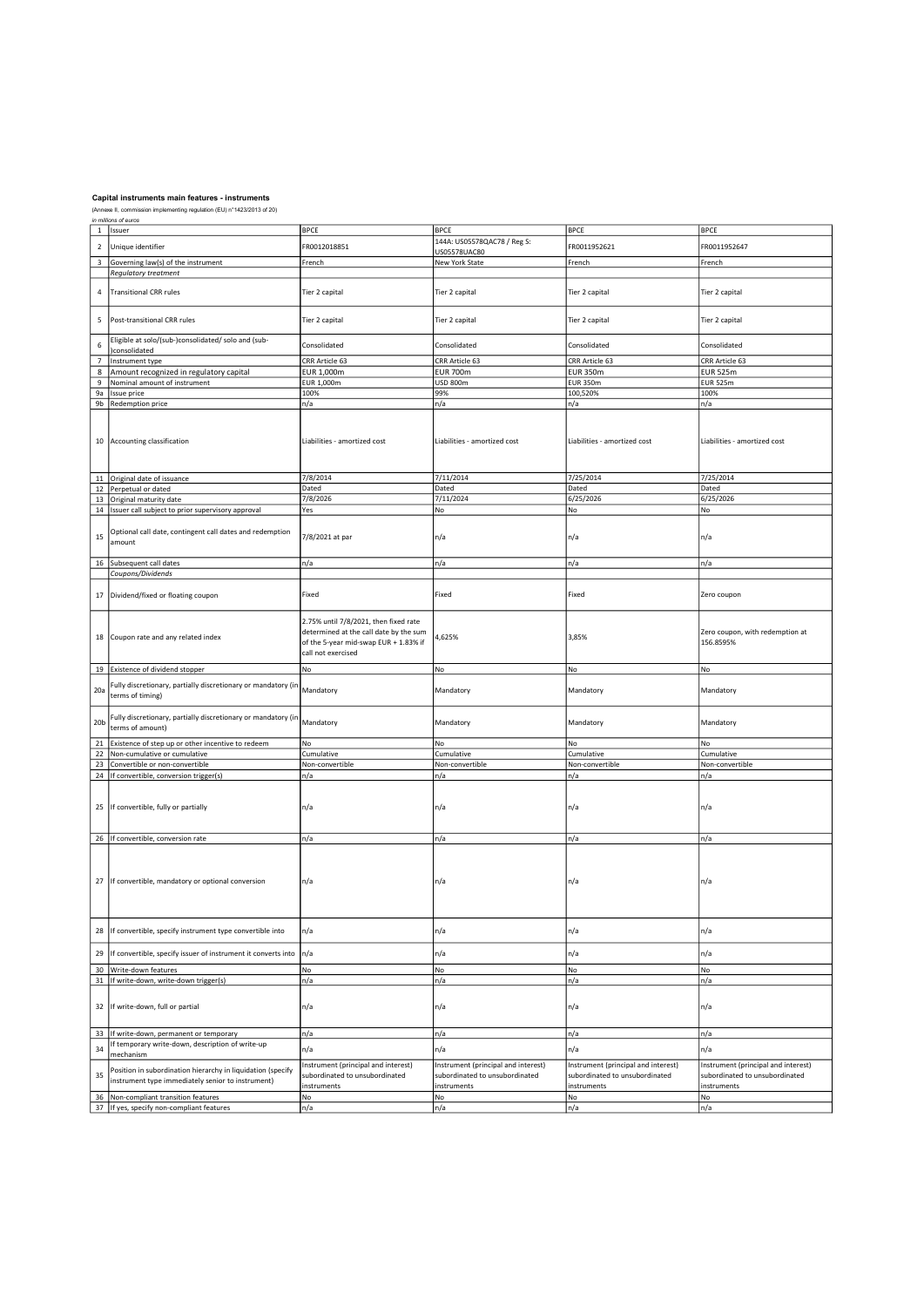|                         | <i>in milions or euros</i><br>1   Issuer                      | <b>BPCE</b>                            | <b>BPCE</b>                         | <b>BPCE</b>                         | <b>BPCE</b>                         |
|-------------------------|---------------------------------------------------------------|----------------------------------------|-------------------------------------|-------------------------------------|-------------------------------------|
|                         |                                                               |                                        |                                     |                                     |                                     |
| $\overline{2}$          | Unique identifier                                             | FR0012018851                           | 144A: US05578QAC78 / Reg S:         | FR0011952621                        | FR0011952647                        |
|                         |                                                               |                                        | US05578UAC80                        |                                     |                                     |
| $\overline{\mathbf{3}}$ | Governing law(s) of the instrument                            | French                                 | New York State                      | French                              | French                              |
|                         |                                                               |                                        |                                     |                                     |                                     |
|                         | <b>Regulatory treatment</b>                                   |                                        |                                     |                                     |                                     |
|                         |                                                               |                                        |                                     |                                     |                                     |
| 4                       | <b>Transitional CRR rules</b>                                 | Tier 2 capital                         | Tier 2 capital                      | Tier 2 capital                      | Tier 2 capital                      |
|                         |                                                               |                                        |                                     |                                     |                                     |
|                         |                                                               |                                        |                                     |                                     |                                     |
| 5                       | Post-transitional CRR rules                                   | Tier 2 capital                         | Tier 2 capital                      | Tier 2 capital                      | Tier 2 capital                      |
|                         |                                                               |                                        |                                     |                                     |                                     |
|                         |                                                               |                                        |                                     |                                     |                                     |
| 6                       | Eligible at solo/(sub-)consolidated/ solo and (sub-           | Consolidated                           | Consolidated                        | Consolidated                        | Consolidated                        |
|                         | )consolidated                                                 |                                        |                                     |                                     |                                     |
| 7                       | Instrument type                                               | CRR Article 63                         | CRR Article 63                      | CRR Article 63                      | CRR Article 63                      |
| 8                       | Amount recognized in regulatory capital                       | EUR 1,000m                             | <b>EUR 700m</b>                     | <b>EUR 350m</b>                     | <b>EUR 525m</b>                     |
|                         |                                                               | EUR 1,000m                             | <b>USD 800m</b>                     | <b>EUR 350m</b>                     | <b>EUR 525m</b>                     |
| 9                       | Nominal amount of instrument                                  |                                        |                                     |                                     |                                     |
| 9a                      | Issue price                                                   | 100%                                   | 99%                                 | 100,520%                            | 100%                                |
|                         | 9b Redemption price                                           | n/a                                    | n/a                                 | n/a                                 | n/a                                 |
|                         |                                                               |                                        |                                     |                                     |                                     |
|                         |                                                               |                                        |                                     |                                     |                                     |
|                         |                                                               |                                        |                                     |                                     |                                     |
|                         | 10 Accounting classification                                  | Liabilities - amortized cost           | Liabilities - amortized cost        | Liabilities - amortized cost        | Liabilities - amortized cost        |
|                         |                                                               |                                        |                                     |                                     |                                     |
|                         |                                                               |                                        |                                     |                                     |                                     |
|                         |                                                               |                                        |                                     |                                     |                                     |
|                         |                                                               |                                        |                                     |                                     |                                     |
|                         | 11 Original date of issuance                                  | 7/8/2014                               | 7/11/2014                           | 7/25/2014                           | 7/25/2014                           |
|                         | 12 Perpetual or dated                                         | Dated                                  | Dated                               | Dated                               | Dated                               |
|                         | 13 Original maturity date                                     | 7/8/2026                               | 7/11/2024                           | 6/25/2026                           | 6/25/2026                           |
|                         |                                                               |                                        |                                     |                                     |                                     |
|                         | 14   Issuer call subject to prior supervisory approval        | Yes                                    | No                                  | No                                  | No                                  |
|                         |                                                               |                                        |                                     |                                     |                                     |
|                         | Optional call date, contingent call dates and redemption      |                                        |                                     |                                     |                                     |
| 15                      | amount                                                        | 7/8/2021 at par                        | n/a                                 | n/a                                 | n/a                                 |
|                         |                                                               |                                        |                                     |                                     |                                     |
|                         |                                                               |                                        |                                     |                                     |                                     |
|                         | 16 Subsequent call dates                                      | n/a                                    | n/a                                 | n/a                                 | n/a                                 |
|                         | Coupons/Dividends                                             |                                        |                                     |                                     |                                     |
|                         |                                                               |                                        |                                     |                                     |                                     |
|                         |                                                               |                                        |                                     |                                     |                                     |
|                         | 17 Dividend/fixed or floating coupon                          | Fixed                                  | Fixed                               | Fixed                               | Zero coupon                         |
|                         |                                                               |                                        |                                     |                                     |                                     |
|                         |                                                               |                                        |                                     |                                     |                                     |
|                         |                                                               | 2.75% until 7/8/2021, then fixed rate  |                                     |                                     |                                     |
|                         |                                                               | determined at the call date by the sum |                                     |                                     | Zero coupon, with redemption at     |
|                         | 18 Coupon rate and any related index                          | of the 5-year mid-swap EUR + 1.83% if  | 4,625%                              | 3,85%                               | 156.8595%                           |
|                         |                                                               |                                        |                                     |                                     |                                     |
|                         |                                                               | call not exercised                     |                                     |                                     |                                     |
|                         | 19 Existence of dividend stopper                              | No                                     | No                                  | No                                  | No                                  |
|                         |                                                               |                                        |                                     |                                     |                                     |
|                         | Fully discretionary, partially discretionary or mandatory (ir |                                        |                                     |                                     |                                     |
| 20a                     | terms of timing)                                              | Mandatory                              | Mandatory                           | Mandatory                           | Mandatory                           |
|                         |                                                               |                                        |                                     |                                     |                                     |
|                         |                                                               |                                        |                                     |                                     |                                     |
|                         | Fully discretionary, partially discretionary or mandatory (in |                                        |                                     |                                     |                                     |
| 20 <sub>b</sub>         | terms of amount)                                              | Mandatory                              | Mandatory                           | Mandatory                           | Mandatory                           |
|                         |                                                               |                                        |                                     |                                     |                                     |
|                         | 21 Existence of step up or other incentive to redeem          | No                                     | No                                  | No                                  | No                                  |
|                         | 22 Non-cumulative or cumulative                               | Cumulative                             | Cumulative                          | Cumulative                          | Cumulative                          |
|                         | 23 Convertible or non-convertible                             | Non-convertible                        | Non-convertible                     | Non-convertible                     | Non-convertible                     |
|                         |                                                               |                                        |                                     |                                     |                                     |
|                         | 24   If convertible, conversion trigger(s)                    | n/a                                    | n/a                                 | n/a                                 | n/a                                 |
|                         |                                                               |                                        |                                     |                                     |                                     |
|                         |                                                               |                                        |                                     |                                     |                                     |
|                         | 25   If convertible, fully or partially                       | n/a                                    | n/a                                 | n/a                                 | n/a                                 |
|                         |                                                               |                                        |                                     |                                     |                                     |
|                         |                                                               |                                        |                                     |                                     |                                     |
|                         |                                                               |                                        |                                     |                                     |                                     |
|                         | 26 If convertible, conversion rate                            | n/a                                    | n/a                                 | n/a                                 | n/a                                 |
|                         |                                                               |                                        |                                     |                                     |                                     |
|                         |                                                               |                                        |                                     |                                     |                                     |
|                         |                                                               |                                        |                                     |                                     |                                     |
|                         |                                                               |                                        |                                     |                                     |                                     |
|                         | 27 If convertible, mandatory or optional conversion           | n/a                                    | n/a                                 | n/a                                 | n/a                                 |
|                         |                                                               |                                        |                                     |                                     |                                     |
|                         |                                                               |                                        |                                     |                                     |                                     |
|                         |                                                               |                                        |                                     |                                     |                                     |
|                         |                                                               |                                        |                                     |                                     |                                     |
|                         |                                                               |                                        |                                     |                                     |                                     |
| 28                      | If convertible, specify instrument type convertible into      | n/a                                    | n/a                                 | n/a                                 | n/a                                 |
|                         |                                                               |                                        |                                     |                                     |                                     |
| 29                      | If convertible, specify issuer of instrument it converts into | n/a                                    | n/a                                 | n/a                                 | n/a                                 |
|                         |                                                               |                                        |                                     |                                     |                                     |
|                         | 30 Write-down features                                        | No                                     | No                                  | No                                  | No                                  |
|                         | 31   If write-down, write-down trigger(s)                     | n/a                                    | n/a                                 | n/a                                 | n/a                                 |
|                         |                                                               |                                        |                                     |                                     |                                     |
|                         |                                                               |                                        |                                     |                                     |                                     |
| 32                      | If write-down, full or partial                                | n/a                                    | n/a                                 | n/a                                 | n/a                                 |
|                         |                                                               |                                        |                                     |                                     |                                     |
|                         |                                                               |                                        |                                     |                                     |                                     |
|                         |                                                               |                                        |                                     |                                     |                                     |
| 33                      | If write-down, permanent or temporary                         | n/a                                    | n/a                                 | n/a                                 | n/a                                 |
| 34                      | If temporary write-down, description of write-up              | n/a                                    | n/a                                 | n/a                                 | n/a                                 |
|                         | mechanism                                                     |                                        |                                     |                                     |                                     |
|                         |                                                               | Instrument (principal and interest)    | Instrument (principal and interest) | Instrument (principal and interest) | Instrument (principal and interest) |
| 35                      | Position in subordination hierarchy in liquidation (specify   | subordinated to unsubordinated         | subordinated to unsubordinated      | subordinated to unsubordinated      | subordinated to unsubordinated      |
|                         | instrument type immediately senior to instrument)             |                                        |                                     |                                     |                                     |
|                         |                                                               | instruments                            | instruments                         | instruments                         | instruments                         |
|                         | 36 Non-compliant transition features                          | No                                     | No                                  | No                                  | No                                  |
|                         | 37 If yes, specify non-compliant features                     | n/a                                    | n/a                                 | n/a                                 | n/a                                 |
|                         |                                                               |                                        |                                     |                                     |                                     |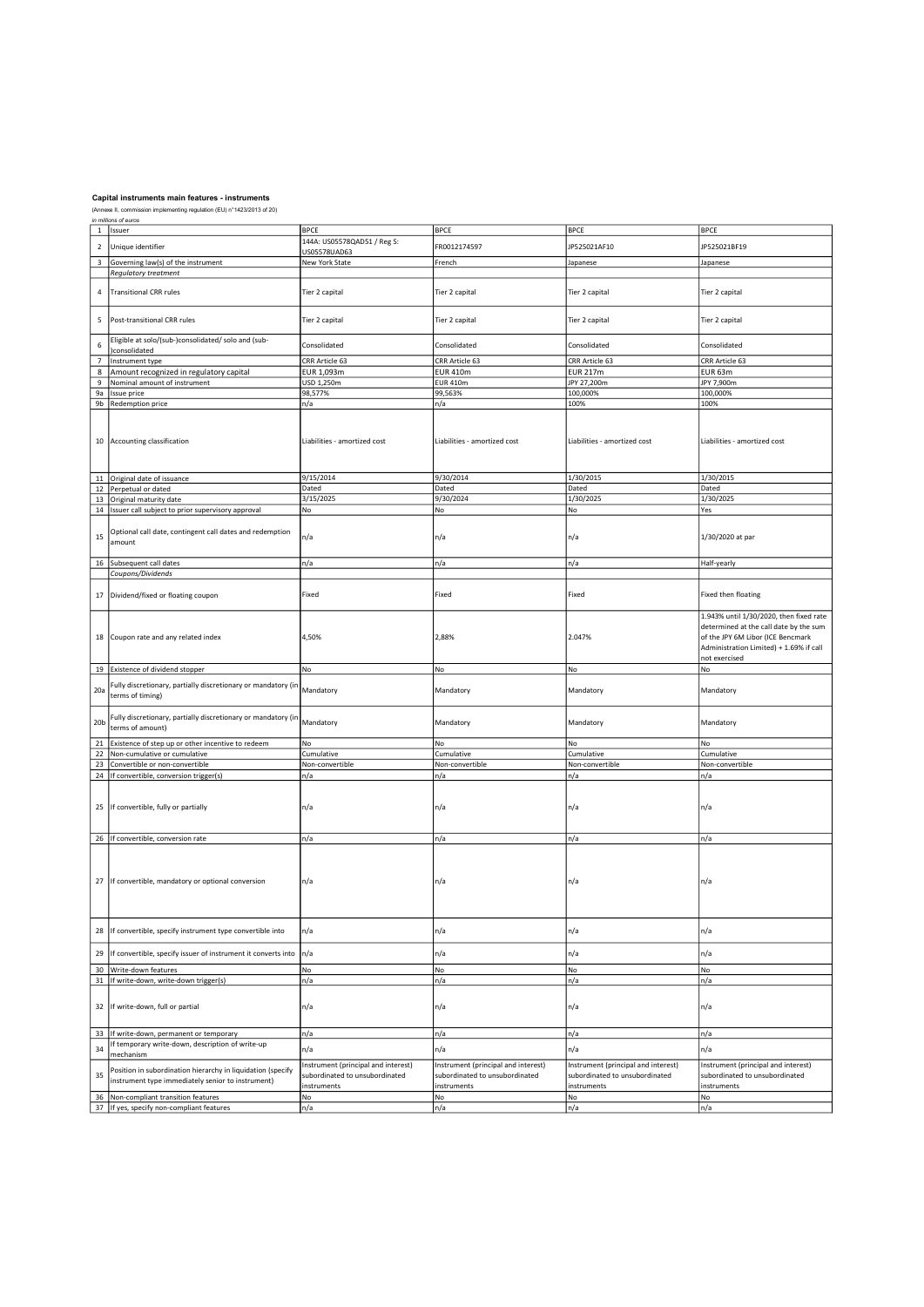| $\,1\,$         | ın miiiions or euros<br>Issuer                                | <b>BPCE</b>                         | <b>BPCE</b>                         | <b>BPCE</b>                         | <b>BPCE</b>                             |
|-----------------|---------------------------------------------------------------|-------------------------------------|-------------------------------------|-------------------------------------|-----------------------------------------|
|                 |                                                               |                                     |                                     |                                     |                                         |
| $\overline{2}$  | Unique identifier                                             | 144A: US05578QAD51 / Reg S:         | FR0012174597                        | JP525021AF10                        | JP525021BF19                            |
|                 |                                                               | US05578UAD63                        |                                     |                                     |                                         |
| $\mathbf{3}$    | Governing law(s) of the instrument                            | New York State                      | French                              | Japanese                            | Japanese                                |
|                 | Regulatory treatment                                          |                                     |                                     |                                     |                                         |
|                 |                                                               |                                     |                                     |                                     |                                         |
| $\sqrt{4}$      | <b>Transitional CRR rules</b>                                 | Tier 2 capital                      | Tier 2 capital                      | Tier 2 capital                      | Tier 2 capital                          |
|                 |                                                               |                                     |                                     |                                     |                                         |
|                 |                                                               |                                     |                                     |                                     |                                         |
| 5               | Post-transitional CRR rules                                   | Tier 2 capital                      | Tier 2 capital                      | Tier 2 capital                      | Tier 2 capital                          |
|                 |                                                               |                                     |                                     |                                     |                                         |
| 6               | Eligible at solo/(sub-)consolidated/ solo and (sub-           | Consolidated                        | Consolidated                        | Consolidated                        | Consolidated                            |
|                 | consolidated                                                  |                                     |                                     |                                     |                                         |
| $\overline{7}$  | Instrument type                                               | CRR Article 63                      | CRR Article 63                      | CRR Article 63                      | CRR Article 63                          |
| 8               | Amount recognized in regulatory capital                       | EUR 1,093m                          | <b>EUR 410m</b>                     | <b>EUR 217m</b>                     | EUR 63m                                 |
| 9               | Nominal amount of instrument                                  | USD 1,250m                          | <b>EUR 410m</b>                     | JPY 27,200m                         | JPY 7,900m                              |
| 9a              | Issue price                                                   | 98,577%                             | 99,563%                             | 100,000%                            | 100,000%                                |
| 9 <sub>b</sub>  | Redemption price                                              | n/a                                 | n/a                                 | 100%                                | 100%                                    |
|                 |                                                               |                                     |                                     |                                     |                                         |
|                 |                                                               |                                     |                                     |                                     |                                         |
|                 |                                                               |                                     |                                     |                                     |                                         |
|                 | 10 Accounting classification                                  | Liabilities - amortized cost        | Liabilities - amortized cost        | Liabilities - amortized cost        | Liabilities - amortized cost            |
|                 |                                                               |                                     |                                     |                                     |                                         |
|                 |                                                               |                                     |                                     |                                     |                                         |
|                 |                                                               |                                     |                                     |                                     |                                         |
|                 | 11 Original date of issuance                                  | 9/15/2014                           | 9/30/2014                           | 1/30/2015                           | $\frac{1}{30/2015}$                     |
|                 | 12 Perpetual or dated                                         | Dated                               | Dated                               | Dated                               | Dated                                   |
|                 | 13 Original maturity date                                     | 3/15/2025                           | 9/30/2024                           | 1/30/2025                           | 1/30/2025                               |
|                 | 14 Issuer call subject to prior supervisory approval          | No                                  | No                                  | No                                  | Yes                                     |
|                 |                                                               |                                     |                                     |                                     |                                         |
|                 | Optional call date, contingent call dates and redemption      |                                     |                                     |                                     |                                         |
| 15              |                                                               | n/a                                 | n/a                                 | n/a                                 | 1/30/2020 at par                        |
|                 | amount                                                        |                                     |                                     |                                     |                                         |
|                 |                                                               |                                     |                                     |                                     |                                         |
| 16              | Subsequent call dates                                         | n/a                                 | n/a                                 | n/a                                 | Half-yearly                             |
|                 | Coupons/Dividends                                             |                                     |                                     |                                     |                                         |
|                 |                                                               |                                     |                                     |                                     |                                         |
| 17              | Dividend/fixed or floating coupon                             | Fixed                               | Fixed                               | Fixed                               | Fixed then floating                     |
|                 |                                                               |                                     |                                     |                                     |                                         |
|                 |                                                               |                                     |                                     |                                     | 1.943% until 1/30/2020, then fixed rate |
|                 |                                                               |                                     |                                     |                                     | determined at the call date by the sum  |
|                 |                                                               | 4,50%                               | 2,88%                               | 2.047%                              | of the JPY 6M Libor (ICE Bencmark       |
|                 | 18 Coupon rate and any related index                          |                                     |                                     |                                     |                                         |
|                 |                                                               |                                     |                                     |                                     | Administration Limited) + 1.69% if call |
|                 |                                                               |                                     |                                     |                                     | not exercised                           |
|                 | 19 Existence of dividend stopper                              | No                                  | No                                  | No                                  | No                                      |
|                 | Fully discretionary, partially discretionary or mandatory (in |                                     |                                     |                                     |                                         |
| 20a             | terms of timing)                                              | Mandatory                           | Mandatory                           | Mandatory                           | Mandatory                               |
|                 |                                                               |                                     |                                     |                                     |                                         |
|                 |                                                               |                                     |                                     |                                     |                                         |
| 20 <sub>b</sub> | Fully discretionary, partially discretionary or mandatory (in | Mandatory                           | Mandatory                           | Mandatory                           | Mandatory                               |
|                 | terms of amount)                                              |                                     |                                     |                                     |                                         |
| 21              | Existence of step up or other incentive to redeem             | No                                  | No                                  | No                                  | No                                      |
| 22              | Non-cumulative or cumulative                                  | Cumulative                          | Cumulative                          | Cumulative                          | Cumulative                              |
|                 | Convertible or non-convertible                                | Non-convertible                     | Non-convertible                     | Non-convertible                     | Non-convertible                         |
| 23              |                                                               |                                     |                                     |                                     |                                         |
|                 | 24 If convertible, conversion trigger(s)                      | n/a                                 | n/a                                 | n/a                                 | n/a                                     |
|                 |                                                               |                                     |                                     |                                     |                                         |
|                 |                                                               |                                     |                                     |                                     |                                         |
|                 | 25 If convertible, fully or partially                         | n/a                                 | n/a                                 | n/a                                 | n/a                                     |
|                 |                                                               |                                     |                                     |                                     |                                         |
|                 |                                                               |                                     |                                     |                                     |                                         |
|                 | 26 If convertible, conversion rate                            | n/a                                 | n/a                                 | n/a                                 | n/a                                     |
|                 |                                                               |                                     |                                     |                                     |                                         |
|                 |                                                               |                                     |                                     |                                     |                                         |
|                 |                                                               |                                     |                                     |                                     |                                         |
| 27              | If convertible, mandatory or optional conversion              | n/a                                 | n/a                                 | n/a                                 | n/a                                     |
|                 |                                                               |                                     |                                     |                                     |                                         |
|                 |                                                               |                                     |                                     |                                     |                                         |
|                 |                                                               |                                     |                                     |                                     |                                         |
|                 |                                                               |                                     |                                     |                                     |                                         |
| 28              | If convertible, specify instrument type convertible into      | n/a                                 | n/a                                 | n/a                                 | n/a                                     |
|                 |                                                               |                                     |                                     |                                     |                                         |
|                 |                                                               |                                     |                                     |                                     |                                         |
| 29              | If convertible, specify issuer of instrument it converts into | n/a                                 | n/a                                 | n/a                                 | n/a                                     |
|                 | 30 Write-down features                                        | No                                  | No                                  | No                                  | No                                      |
| 31              | If write-down, write-down trigger(s)                          | n/a                                 | n/a                                 | n/a                                 | n/a                                     |
|                 |                                                               |                                     |                                     |                                     |                                         |
|                 |                                                               |                                     |                                     |                                     |                                         |
| 32              | If write-down, full or partial                                | n/a                                 | n/a                                 | n/a                                 | n/a                                     |
|                 |                                                               |                                     |                                     |                                     |                                         |
|                 |                                                               |                                     |                                     |                                     |                                         |
| 33              | If write-down, permanent or temporary                         | n/a                                 | n/a                                 | n/a                                 | n/a                                     |
|                 | If temporary write-down, description of write-up              |                                     |                                     |                                     |                                         |
| 34              | mechanism                                                     | n/a                                 | n/a                                 | n/a                                 | n/a                                     |
|                 |                                                               | Instrument (principal and interest) | Instrument (principal and interest) | Instrument (principal and interest) | Instrument (principal and interest)     |
| 35              | Position in subordination hierarchy in liquidation (specify   | subordinated to unsubordinated      | subordinated to unsubordinated      | subordinated to unsubordinated      | subordinated to unsubordinated          |
|                 | instrument type immediately senior to instrument)             | instruments                         | instruments                         | instruments                         | instruments                             |
| 36              | Non-compliant transition features                             | No                                  | No                                  | No                                  | No                                      |
|                 |                                                               |                                     |                                     |                                     |                                         |
|                 | 37 If yes, specify non-compliant features                     | n/a                                 | n/a                                 | n/a                                 | n/a                                     |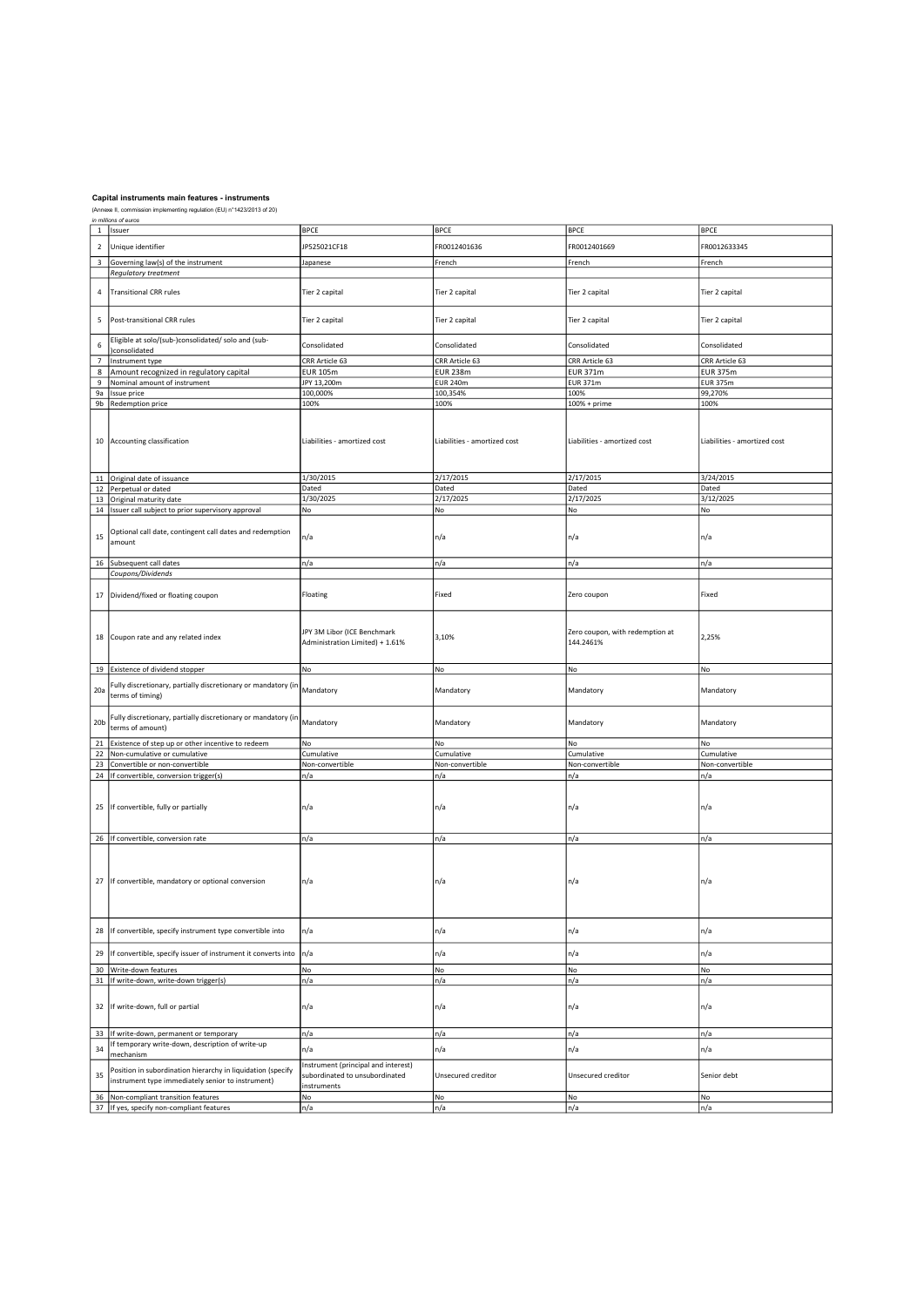| $\mathbf 1$      | ın millions of euros<br>Issuer                                | <b>BPCE</b>                         | <b>BPCE</b>                  | <b>BPCE</b>                     | <b>BPCE</b>                  |
|------------------|---------------------------------------------------------------|-------------------------------------|------------------------------|---------------------------------|------------------------------|
|                  |                                                               |                                     |                              |                                 |                              |
| $\mathbf 2$      | Unique identifier                                             | JP525021CF18                        | FR0012401636                 | FR0012401669                    | FR0012633345                 |
|                  |                                                               |                                     |                              |                                 |                              |
| 3                | Governing law(s) of the instrument                            | Japanese                            | French                       | French                          | French                       |
|                  | Regulatory treatment                                          |                                     |                              |                                 |                              |
|                  |                                                               |                                     |                              |                                 |                              |
| 4                | <b>Transitional CRR rules</b>                                 | Tier 2 capital                      | Tier 2 capital               | Tier 2 capital                  | Tier 2 capital               |
|                  |                                                               |                                     |                              |                                 |                              |
|                  |                                                               |                                     |                              |                                 |                              |
| 5                | Post-transitional CRR rules                                   | Tier 2 capital                      | Tier 2 capital               | Tier 2 capital                  | Tier 2 capital               |
|                  |                                                               |                                     |                              |                                 |                              |
|                  | Eligible at solo/(sub-)consolidated/ solo and (sub-           |                                     |                              |                                 |                              |
| $\boldsymbol{6}$ | consolidated                                                  | Consolidated                        | Consolidated                 | Consolidated                    | Consolidated                 |
| $\overline{7}$   | Instrument type                                               | CRR Article 63                      | CRR Article 63               | CRR Article 63                  | CRR Article 63               |
| 8                | Amount recognized in regulatory capital                       | <b>EUR 105m</b>                     | <b>EUR 238m</b>              | <b>EUR 371m</b>                 | <b>EUR 375m</b>              |
| $\boldsymbol{9}$ | Nominal amount of instrument                                  | JPY 13,200m                         | <b>EUR 240m</b>              | <b>EUR 371m</b>                 | <b>EUR 375m</b>              |
|                  |                                                               |                                     |                              |                                 |                              |
| 9a               | Issue price                                                   | 100,000%                            | 100,354%                     | 100%                            | 99,270%                      |
|                  | 9b Redemption price                                           | 100%                                | 100%                         | 100% + prime                    | 100%                         |
|                  |                                                               |                                     |                              |                                 |                              |
|                  |                                                               |                                     |                              |                                 |                              |
|                  |                                                               |                                     |                              |                                 |                              |
|                  | 10 Accounting classification                                  | Liabilities - amortized cost        | Liabilities - amortized cost | Liabilities - amortized cost    | Liabilities - amortized cost |
|                  |                                                               |                                     |                              |                                 |                              |
|                  |                                                               |                                     |                              |                                 |                              |
|                  |                                                               | 1/30/2015                           | 2/17/2015                    | 2/17/2015                       | 3/24/2015                    |
|                  | 11 Original date of issuance                                  |                                     |                              |                                 |                              |
|                  | 12 Perpetual or dated                                         | Dated                               | Dated                        | Dated                           | Dated                        |
|                  | 13 Original maturity date                                     | 1/30/2025                           | 2/17/2025                    | 2/17/2025                       | 3/12/2025                    |
|                  | 14 Issuer call subject to prior supervisory approval          | No                                  | No                           | No                              | No                           |
|                  |                                                               |                                     |                              |                                 |                              |
|                  | Optional call date, contingent call dates and redemption      |                                     |                              |                                 |                              |
| 15               | amount                                                        | n/a                                 | n/a                          | n/a                             | n/a                          |
|                  |                                                               |                                     |                              |                                 |                              |
|                  | 16 Subsequent call dates                                      | n/a                                 | n/a                          | n/a                             | n/a                          |
|                  | Coupons/Dividends                                             |                                     |                              |                                 |                              |
|                  |                                                               |                                     |                              |                                 |                              |
|                  |                                                               |                                     |                              |                                 |                              |
| $17\,$           | Dividend/fixed or floating coupon                             | Floating                            | Fixed                        | Zero coupon                     | Fixed                        |
|                  |                                                               |                                     |                              |                                 |                              |
|                  |                                                               |                                     |                              |                                 |                              |
|                  |                                                               | JPY 3M Libor (ICE Benchmark         |                              | Zero coupon, with redemption at |                              |
|                  | 18 Coupon rate and any related index                          |                                     | 3,10%                        |                                 | 2,25%                        |
|                  |                                                               | Administration Limited) + 1.61%     |                              | 144.2461%                       |                              |
|                  |                                                               |                                     |                              |                                 |                              |
|                  | 19 Existence of dividend stopper                              | No                                  | No                           | No                              | No                           |
|                  |                                                               |                                     |                              |                                 |                              |
|                  | Fully discretionary, partially discretionary or mandatory (in | Mandatory                           |                              |                                 |                              |
| 20a              | terms of timing)                                              |                                     | Mandatory                    | Mandatory                       | Mandatory                    |
|                  |                                                               |                                     |                              |                                 |                              |
|                  | Fully discretionary, partially discretionary or mandatory (in |                                     |                              |                                 |                              |
| 20 <sub>b</sub>  | terms of amount)                                              | Mandatory                           | Mandatory                    | Mandatory                       | Mandatory                    |
|                  |                                                               |                                     |                              |                                 |                              |
| 21               | Existence of step up or other incentive to redeem             | No                                  | No                           | No                              | No                           |
|                  | 22 Non-cumulative or cumulative                               | Cumulative                          | Cumulative                   | Cumulative                      | Cumulative                   |
|                  | 23 Convertible or non-convertible                             | Non-convertible                     | Non-convertible              | Non-convertible                 | Non-convertible              |
|                  | 24 If convertible, conversion trigger(s)                      | n/a                                 | n/a                          | n/a                             | n/a                          |
|                  |                                                               |                                     |                              |                                 |                              |
|                  |                                                               |                                     |                              |                                 |                              |
|                  |                                                               |                                     |                              |                                 |                              |
|                  | 25   If convertible, fully or partially                       | n/a                                 | n/a                          | n/a                             | n/a                          |
|                  |                                                               |                                     |                              |                                 |                              |
|                  |                                                               |                                     |                              |                                 |                              |
|                  | 26 If convertible, conversion rate                            | n/a                                 | n/a                          | n/a                             | n/a                          |
|                  |                                                               |                                     |                              |                                 |                              |
|                  |                                                               |                                     |                              |                                 |                              |
|                  |                                                               |                                     |                              |                                 |                              |
| 27               | If convertible, mandatory or optional conversion              | n/a                                 | n/a                          | n/a                             | n/a                          |
|                  |                                                               |                                     |                              |                                 |                              |
|                  |                                                               |                                     |                              |                                 |                              |
|                  |                                                               |                                     |                              |                                 |                              |
|                  |                                                               |                                     |                              |                                 |                              |
| 28               | If convertible, specify instrument type convertible into      | n/a                                 | n/a                          | n/a                             | n/a                          |
|                  |                                                               |                                     |                              |                                 |                              |
|                  |                                                               |                                     |                              |                                 |                              |
| 29               | If convertible, specify issuer of instrument it converts into | n/a                                 | n/a                          | n/a                             | n/a                          |
|                  | 30   Write-down features                                      | No                                  | No                           | No                              | No                           |
| 31               | If write-down, write-down trigger(s)                          | n/a                                 | n/a                          | n/a                             | n/a                          |
|                  |                                                               |                                     |                              |                                 |                              |
|                  |                                                               |                                     |                              |                                 |                              |
| 32               | If write-down, full or partial                                | n/a                                 | n/a                          | n/a                             | n/a                          |
|                  |                                                               |                                     |                              |                                 |                              |
|                  |                                                               |                                     |                              |                                 |                              |
|                  | 33 If write-down, permanent or temporary                      | n/a                                 | n/a                          | n/a                             | n/a                          |
| 34               | If temporary write-down, description of write-up              | n/a                                 | n/a                          | n/a                             | n/a                          |
|                  | mechanism                                                     |                                     |                              |                                 |                              |
|                  |                                                               | Instrument (principal and interest) |                              |                                 |                              |
| 35               | Position in subordination hierarchy in liquidation (specify   | subordinated to unsubordinated      | Unsecured creditor           | Unsecured creditor              | Senior debt                  |
|                  | instrument type immediately senior to instrument)             | instruments                         |                              |                                 |                              |
| 36               | Non-compliant transition features                             | $_{\sf No}$                         | No                           | No                              | No                           |
|                  | 37 If yes, specify non-compliant features                     | n/a                                 | n/a                          | n/a                             | n/a                          |
|                  |                                                               |                                     |                              |                                 |                              |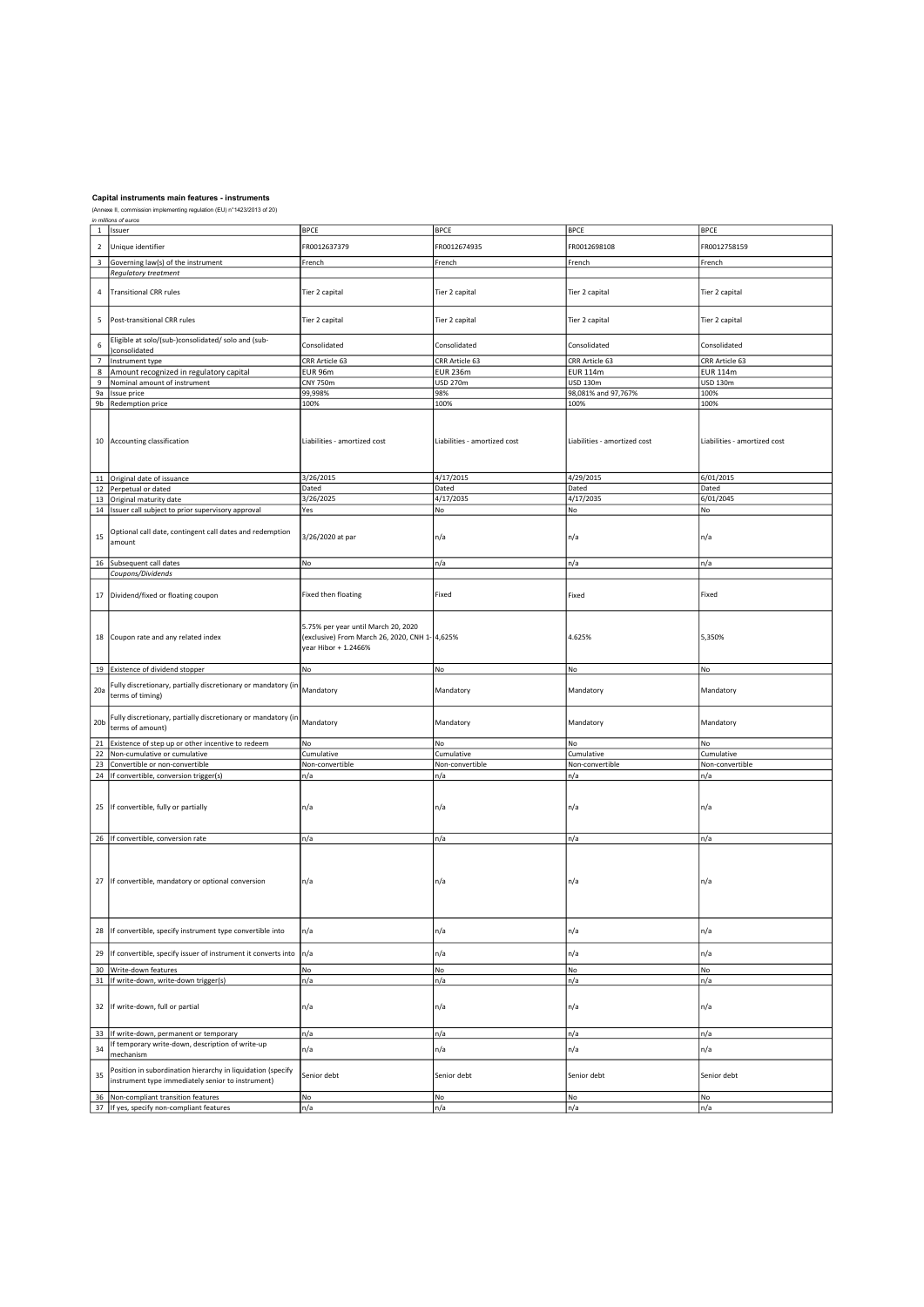| $\mathbf 1$              | ın miiions or euros<br>Issuer                                 | <b>BPCE</b>                                    | <b>BPCE</b>                  | <b>BPCE</b>                  | <b>BPCE</b>                  |
|--------------------------|---------------------------------------------------------------|------------------------------------------------|------------------------------|------------------------------|------------------------------|
|                          |                                                               |                                                |                              |                              |                              |
| $\overline{2}$           | Unique identifier                                             | FR0012637379                                   | FR0012674935                 | FR0012698108                 | FR0012758159                 |
|                          |                                                               |                                                |                              |                              |                              |
|                          | 3 Governing law(s) of the instrument                          | French                                         | French                       | French                       | French                       |
|                          | Regulatory treatment                                          |                                                |                              |                              |                              |
|                          |                                                               |                                                |                              |                              |                              |
| $\sqrt{4}$               | <b>Transitional CRR rules</b>                                 | Tier 2 capital                                 | Tier 2 capital               | Tier 2 capital               | Tier 2 capital               |
|                          |                                                               |                                                |                              |                              |                              |
|                          |                                                               |                                                |                              |                              |                              |
| 5                        | Post-transitional CRR rules                                   | Tier 2 capital                                 | Tier 2 capital               | Tier 2 capital               | Tier 2 capital               |
|                          |                                                               |                                                |                              |                              |                              |
| $\,$ 6                   | Eligible at solo/(sub-)consolidated/ solo and (sub-           |                                                |                              |                              |                              |
|                          | consolidated                                                  | Consolidated                                   | Consolidated                 | Consolidated                 | Consolidated                 |
| $\overline{\phantom{a}}$ | Instrument type                                               | CRR Article 63                                 | CRR Article 63               | CRR Article 63               | CRR Article 63               |
| 8                        | Amount recognized in regulatory capital                       | EUR 96m                                        | <b>EUR 236m</b>              | <b>EUR 114m</b>              | <b>EUR 114m</b>              |
| $\boldsymbol{9}$         | Nominal amount of instrument                                  | <b>CNY 750m</b>                                | <b>USD 270m</b>              | <b>USD 130m</b>              | <b>USD 130m</b>              |
|                          |                                                               |                                                | 98%                          | 98,081% and 97,767%          | 100%                         |
| 9a                       | Issue price                                                   | 99,998%                                        |                              |                              |                              |
|                          | 9b Redemption price                                           | 100%                                           | 100%                         | 100%                         | 100%                         |
|                          |                                                               |                                                |                              |                              |                              |
|                          |                                                               |                                                |                              |                              |                              |
|                          |                                                               |                                                |                              |                              |                              |
|                          | 10 Accounting classification                                  | Liabilities - amortized cost                   | Liabilities - amortized cost | Liabilities - amortized cost | Liabilities - amortized cost |
|                          |                                                               |                                                |                              |                              |                              |
|                          |                                                               |                                                |                              |                              |                              |
|                          |                                                               | 3/26/2015                                      | 4/17/2015                    | 4/29/2015                    | 6/01/2015                    |
|                          | 11 Original date of issuance                                  |                                                |                              |                              |                              |
|                          | 12 Perpetual or dated                                         | Dated                                          | Dated                        | Dated                        | Dated                        |
|                          | 13 Original maturity date                                     | 3/26/2025                                      | 4/17/2035                    | 4/17/2035                    | 6/01/2045                    |
|                          | 14   Issuer call subject to prior supervisory approval        | Yes                                            | No                           | No                           | No                           |
|                          |                                                               |                                                |                              |                              |                              |
|                          | Optional call date, contingent call dates and redemption      |                                                |                              |                              |                              |
| 15                       | amount                                                        | 3/26/2020 at par                               | n/a                          | n/a                          | n/a                          |
|                          |                                                               |                                                |                              |                              |                              |
|                          | 16 Subsequent call dates                                      | No                                             | n/a                          | n/a                          | n/a                          |
|                          | Coupons/Dividends                                             |                                                |                              |                              |                              |
|                          |                                                               |                                                |                              |                              |                              |
|                          |                                                               |                                                |                              |                              |                              |
| $17\,$                   | Dividend/fixed or floating coupon                             | Fixed then floating                            | Fixed                        | Fixed                        | Fixed                        |
|                          |                                                               |                                                |                              |                              |                              |
|                          |                                                               |                                                |                              |                              |                              |
|                          |                                                               | 5.75% per year until March 20, 2020            |                              |                              |                              |
|                          | 18 Coupon rate and any related index                          | (exclusive) From March 26, 2020, CNH 1- 4,625% |                              | 4.625%                       | 5,350%                       |
|                          |                                                               | vear Hibor + 1.2466%                           |                              |                              |                              |
|                          |                                                               |                                                |                              |                              |                              |
|                          | 19 Existence of dividend stopper                              | No                                             | No                           | No                           | No                           |
|                          |                                                               |                                                |                              |                              |                              |
|                          | Fully discretionary, partially discretionary or mandatory (in |                                                |                              |                              |                              |
| 20a                      | terms of timing)                                              | Mandatory                                      | Mandatory                    | Mandatory                    | Mandatory                    |
|                          |                                                               |                                                |                              |                              |                              |
|                          | Fully discretionary, partially discretionary or mandatory (in |                                                |                              |                              |                              |
| 20 <sub>b</sub>          | terms of amount)                                              | Mandatory                                      | Mandatory                    | Mandatory                    | Mandatory                    |
|                          |                                                               |                                                |                              |                              |                              |
| 21                       | Existence of step up or other incentive to redeem             | No                                             | No                           | No                           | No                           |
| 22                       | Non-cumulative or cumulative                                  | Cumulative                                     | Cumulative                   | Cumulative                   | Cumulative                   |
|                          | 23 Convertible or non-convertible                             | Non-convertible                                | Non-convertible              | Non-convertible              | Non-convertible              |
|                          | 24 If convertible, conversion trigger(s)                      | n/a                                            | n/a                          | n/a                          | n/a                          |
|                          |                                                               |                                                |                              |                              |                              |
|                          |                                                               |                                                |                              |                              |                              |
|                          |                                                               |                                                |                              |                              |                              |
|                          | 25 If convertible, fully or partially                         | n/a                                            | n/a                          | n/a                          | n/a                          |
|                          |                                                               |                                                |                              |                              |                              |
|                          |                                                               |                                                |                              |                              |                              |
|                          | 26 If convertible, conversion rate                            | n/a                                            | n/a                          | n/a                          | n/a                          |
|                          |                                                               |                                                |                              |                              |                              |
|                          |                                                               |                                                |                              |                              |                              |
|                          |                                                               |                                                |                              |                              |                              |
| 27                       | If convertible, mandatory or optional conversion              | n/a                                            | n/a                          | n/a                          | n/a                          |
|                          |                                                               |                                                |                              |                              |                              |
|                          |                                                               |                                                |                              |                              |                              |
|                          |                                                               |                                                |                              |                              |                              |
|                          |                                                               |                                                |                              |                              |                              |
| 28                       | If convertible, specify instrument type convertible into      | n/a                                            | n/a                          | n/a                          | n/a                          |
|                          |                                                               |                                                |                              |                              |                              |
|                          |                                                               |                                                |                              |                              |                              |
| 29                       | If convertible, specify issuer of instrument it converts into | n/a                                            | n/a                          | n/a                          | n/a                          |
|                          | 30 Write-down features                                        | No                                             | No                           | No                           | No                           |
| 31                       | If write-down, write-down trigger(s)                          | n/a                                            | n/a                          | n/a                          | n/a                          |
|                          |                                                               |                                                |                              |                              |                              |
|                          |                                                               |                                                |                              |                              |                              |
| 32                       | If write-down, full or partial                                | n/a                                            | n/a                          | n/a                          | n/a                          |
|                          |                                                               |                                                |                              |                              |                              |
|                          |                                                               |                                                |                              |                              |                              |
| 33                       | If write-down, permanent or temporary                         | n/a                                            | n/a                          | n/a                          | n/a                          |
|                          | If temporary write-down, description of write-up              | n/a                                            |                              |                              | n/a                          |
| 34                       | mechanism                                                     |                                                | n/a                          | n/a                          |                              |
|                          |                                                               |                                                |                              |                              |                              |
| 35                       | Position in subordination hierarchy in liquidation (specify   | Senior debt                                    | Senior debt                  | Senior debt                  | Senior debt                  |
|                          | instrument type immediately senior to instrument)             |                                                |                              |                              |                              |
| 36                       | Non-compliant transition features                             | No                                             | No                           | No                           | No                           |
|                          |                                                               |                                                |                              |                              |                              |
| 37                       | If yes, specify non-compliant features                        | n/a                                            | n/a                          | n/a                          | n/a                          |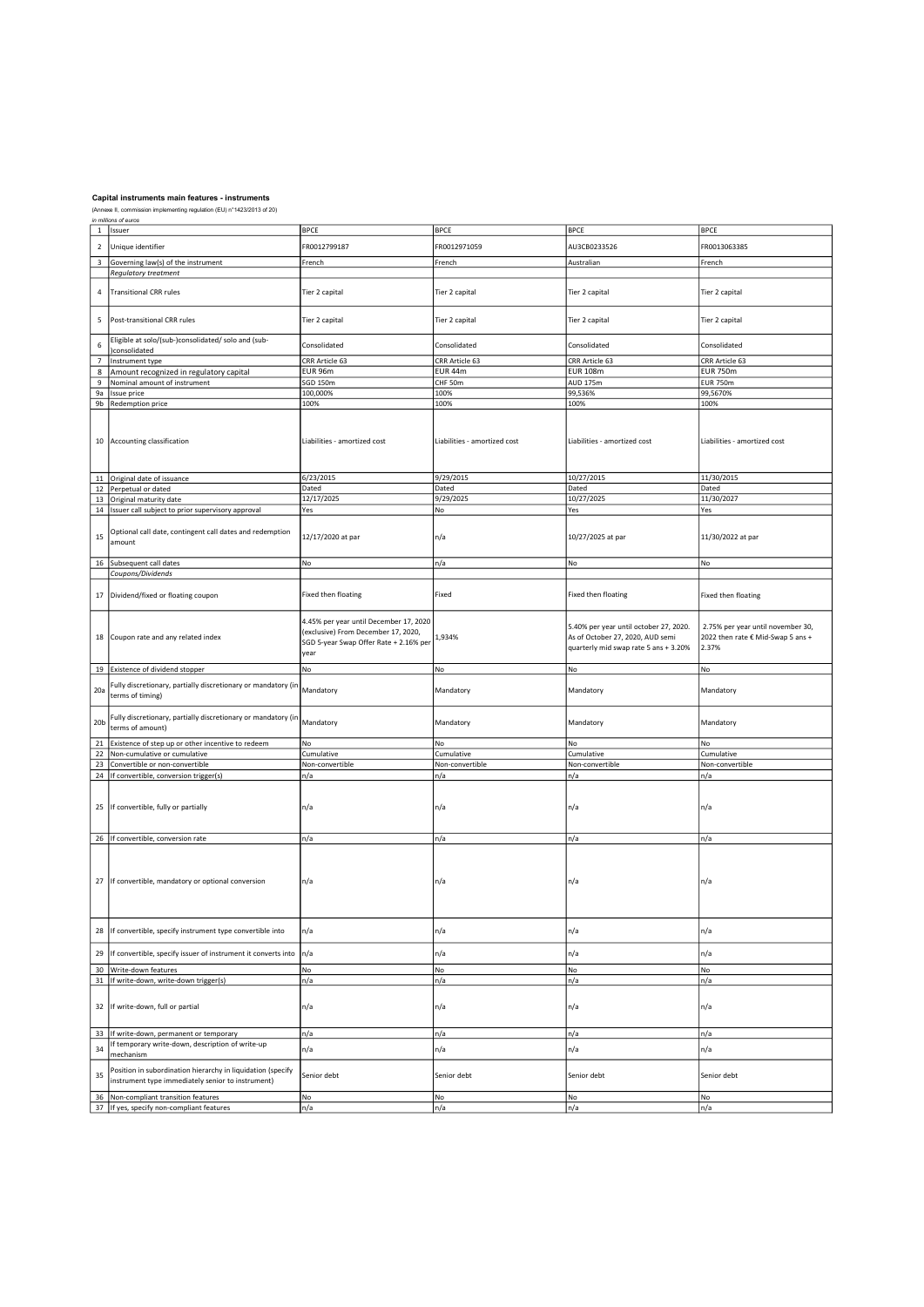|                 | 'i iimmuws or euros<br>1 Issuer                                                | <b>BPCE</b>                            | <b>BPCE</b>                  | <b>BPCE</b>                            | <b>BPCE</b>                       |
|-----------------|--------------------------------------------------------------------------------|----------------------------------------|------------------------------|----------------------------------------|-----------------------------------|
|                 |                                                                                |                                        |                              |                                        |                                   |
| $\overline{2}$  | Unique identifier                                                              | FR0012799187                           | FR0012971059                 | AU3CB0233526                           | FR0013063385                      |
|                 |                                                                                |                                        |                              |                                        |                                   |
| $\mathsf 3$     | Governing law(s) of the instrument                                             | French                                 | French                       | Australian                             | French                            |
|                 | <b>Regulatory treatment</b>                                                    |                                        |                              |                                        |                                   |
|                 |                                                                                |                                        |                              |                                        |                                   |
| 4               | Transitional CRR rules                                                         | Tier 2 capital                         | Tier 2 capital               | Tier 2 capital                         | Tier 2 capital                    |
|                 |                                                                                |                                        |                              |                                        |                                   |
|                 |                                                                                |                                        |                              |                                        |                                   |
|                 |                                                                                |                                        |                              |                                        |                                   |
| 5               | Post-transitional CRR rules                                                    | Tier 2 capital                         | Tier 2 capital               | Tier 2 capital                         | Tier 2 capital                    |
|                 |                                                                                |                                        |                              |                                        |                                   |
| $\,6\,$         | Eligible at solo/(sub-)consolidated/ solo and (sub-                            | Consolidated                           | Consolidated                 | Consolidated                           | Consolidated                      |
|                 | consolidated                                                                   |                                        |                              |                                        |                                   |
| $\overline{7}$  | Instrument type                                                                | CRR Article 63                         | CRR Article 63               | CRR Article 63                         | CRR Article 63                    |
| 8               | Amount recognized in regulatory capital                                        | EUR 96m                                | EUR 44m                      | <b>EUR 108m</b>                        | <b>EUR 750m</b>                   |
|                 |                                                                                |                                        |                              |                                        |                                   |
| 9               | Nominal amount of instrument                                                   | SGD 150m                               | CHF 50m                      | AUD 175m                               | <b>EUR 750m</b>                   |
|                 | 9a   Issue price                                                               | 100,000%                               | 100%                         | 99,536%                                | 99,5670%                          |
|                 | 9b   Redemption price                                                          | 100%                                   | 100%                         | 100%                                   | 100%                              |
|                 |                                                                                |                                        |                              |                                        |                                   |
|                 |                                                                                |                                        |                              |                                        |                                   |
|                 |                                                                                |                                        |                              |                                        |                                   |
|                 |                                                                                | Liabilities - amortized cost           | Liabilities - amortized cost | Liabilities - amortized cost           | Liabilities - amortized cost      |
|                 | 10 Accounting classification                                                   |                                        |                              |                                        |                                   |
|                 |                                                                                |                                        |                              |                                        |                                   |
|                 |                                                                                |                                        |                              |                                        |                                   |
|                 |                                                                                |                                        |                              |                                        |                                   |
|                 | 11 Original date of issuance                                                   | 6/23/2015                              | 9/29/2015                    | 10/27/2015                             | 11/30/2015                        |
|                 | 12 Perpetual or dated                                                          | Dated                                  | Dated                        | Dated                                  | Dated                             |
|                 | 13 Original maturity date                                                      | 12/17/2025                             | 9/29/2025                    | 10/27/2025                             | 11/30/2027                        |
|                 |                                                                                |                                        | No                           |                                        |                                   |
|                 | 14   Issuer call subject to prior supervisory approval                         | Yes                                    |                              | Yes                                    | Yes                               |
|                 |                                                                                |                                        |                              |                                        |                                   |
|                 | Optional call date, contingent call dates and redemption                       |                                        |                              |                                        |                                   |
| 15              | amount                                                                         | 12/17/2020 at par                      | n/a                          | 10/27/2025 at par                      | 11/30/2022 at par                 |
|                 |                                                                                |                                        |                              |                                        |                                   |
|                 |                                                                                |                                        |                              |                                        |                                   |
|                 | 16 Subsequent call dates                                                       | No                                     | n/a                          | No                                     | No                                |
|                 | Coupons/Dividends                                                              |                                        |                              |                                        |                                   |
|                 |                                                                                |                                        |                              |                                        |                                   |
|                 |                                                                                |                                        |                              |                                        |                                   |
|                 | 17 Dividend/fixed or floating coupon                                           | Fixed then floating                    | Fixed                        | Fixed then floating                    | Fixed then floating               |
|                 |                                                                                |                                        |                              |                                        |                                   |
|                 |                                                                                |                                        |                              |                                        |                                   |
|                 |                                                                                | 4.45% per year until December 17, 2020 |                              | 5.40% per year until october 27, 2020. | 2.75% per year until november 30, |
|                 |                                                                                | (exclusive) From December 17, 2020,    |                              |                                        |                                   |
|                 | 18 Coupon rate and any related index                                           | SGD 5-year Swap Offer Rate + 2.16% per | 1,934%                       | As of October 27, 2020, AUD semi       | 2022 then rate € Mid-Swap 5 ans + |
|                 |                                                                                |                                        |                              | quarterly mid swap rate 5 ans + 3.20%  | 2.37%                             |
|                 |                                                                                | year                                   |                              |                                        |                                   |
|                 | 19 Existence of dividend stopper                                               | No                                     | No                           | No                                     | No                                |
|                 |                                                                                |                                        |                              |                                        |                                   |
|                 | Fully discretionary, partially discretionary or mandatory (in                  |                                        |                              |                                        |                                   |
| 20a             | terms of timing)                                                               | Mandatory                              | Mandatory                    | Mandatory                              | Mandatory                         |
|                 |                                                                                |                                        |                              |                                        |                                   |
|                 |                                                                                |                                        |                              |                                        |                                   |
|                 | Fully discretionary, partially discretionary or mandatory (in                  |                                        |                              |                                        |                                   |
| 20 <sub>b</sub> | terms of amount)                                                               | Mandatory                              | Mandatory                    | Mandatory                              | Mandatory                         |
|                 |                                                                                |                                        |                              |                                        |                                   |
|                 | 21 Existence of step up or other incentive to redeem                           | No                                     | No                           | No                                     | No                                |
| 22              | Non-cumulative or cumulative                                                   | Cumulative                             | Cumulative                   | Cumulative                             | Cumulative                        |
|                 | 23 Convertible or non-convertible                                              | Non-convertible                        | Non-convertible              | Non-convertible                        | Non-convertible                   |
|                 |                                                                                |                                        |                              |                                        |                                   |
|                 | 24 If convertible, conversion trigger(s)                                       | n/a                                    | n/a                          | n/a                                    | n/a                               |
|                 |                                                                                |                                        |                              |                                        |                                   |
|                 |                                                                                |                                        |                              |                                        |                                   |
|                 | 25 If convertible, fully or partially                                          | n/a                                    | n/a                          | n/a                                    | n/a                               |
|                 |                                                                                |                                        |                              |                                        |                                   |
|                 |                                                                                |                                        |                              |                                        |                                   |
|                 |                                                                                |                                        |                              |                                        |                                   |
|                 | 26 If convertible, conversion rate                                             | n/a                                    | n/a                          | n/a                                    | n/a                               |
|                 |                                                                                |                                        |                              |                                        |                                   |
|                 |                                                                                |                                        |                              |                                        |                                   |
|                 |                                                                                |                                        |                              |                                        |                                   |
|                 |                                                                                |                                        |                              |                                        |                                   |
|                 | 27 If convertible, mandatory or optional conversion                            | n/a                                    | n/a                          | n/a                                    | n/a                               |
|                 |                                                                                |                                        |                              |                                        |                                   |
|                 |                                                                                |                                        |                              |                                        |                                   |
|                 |                                                                                |                                        |                              |                                        |                                   |
|                 |                                                                                |                                        |                              |                                        |                                   |
|                 |                                                                                |                                        |                              |                                        |                                   |
| 28              | If convertible, specify instrument type convertible into                       | n/a                                    | n/a                          | n/a                                    | n/a                               |
|                 |                                                                                |                                        |                              |                                        |                                   |
| 29              | If convertible, specify issuer of instrument it converts into                  | n/a                                    | n/a                          | n/a                                    | n/a                               |
|                 |                                                                                |                                        |                              |                                        |                                   |
| 30              | Write-down features                                                            | No                                     | No                           | No                                     | No                                |
|                 | 31   If write-down, write-down trigger(s)                                      | n/a                                    | n/a                          | n/a                                    | n/a                               |
|                 |                                                                                |                                        |                              |                                        |                                   |
|                 |                                                                                |                                        |                              |                                        |                                   |
|                 |                                                                                |                                        |                              |                                        |                                   |
|                 | 32 If write-down, full or partial                                              | n/a                                    | n/a                          | n/a                                    | n/a                               |
|                 |                                                                                |                                        |                              |                                        |                                   |
|                 |                                                                                |                                        |                              |                                        |                                   |
| 33              | If write-down, permanent or temporary                                          | n/a                                    | n/a                          | n/a                                    | n/a                               |
|                 | If temporary write-down, description of write-up                               |                                        |                              |                                        |                                   |
| 34              |                                                                                | n/a                                    | n/a                          | n/a                                    | n/a                               |
|                 |                                                                                |                                        |                              |                                        |                                   |
|                 | mechanism                                                                      |                                        |                              |                                        |                                   |
|                 |                                                                                |                                        |                              |                                        |                                   |
| 35              | Position in subordination hierarchy in liquidation (specify                    | Senior debt                            | Senior debt                  | Senior debt                            | Senior debt                       |
|                 | instrument type immediately senior to instrument)                              |                                        |                              |                                        |                                   |
|                 |                                                                                |                                        |                              |                                        |                                   |
| 36              | Non-compliant transition features<br>37 If yes, specify non-compliant features | No<br>n/a                              | No<br>n/a                    | No<br>n/a                              | No<br>n/a                         |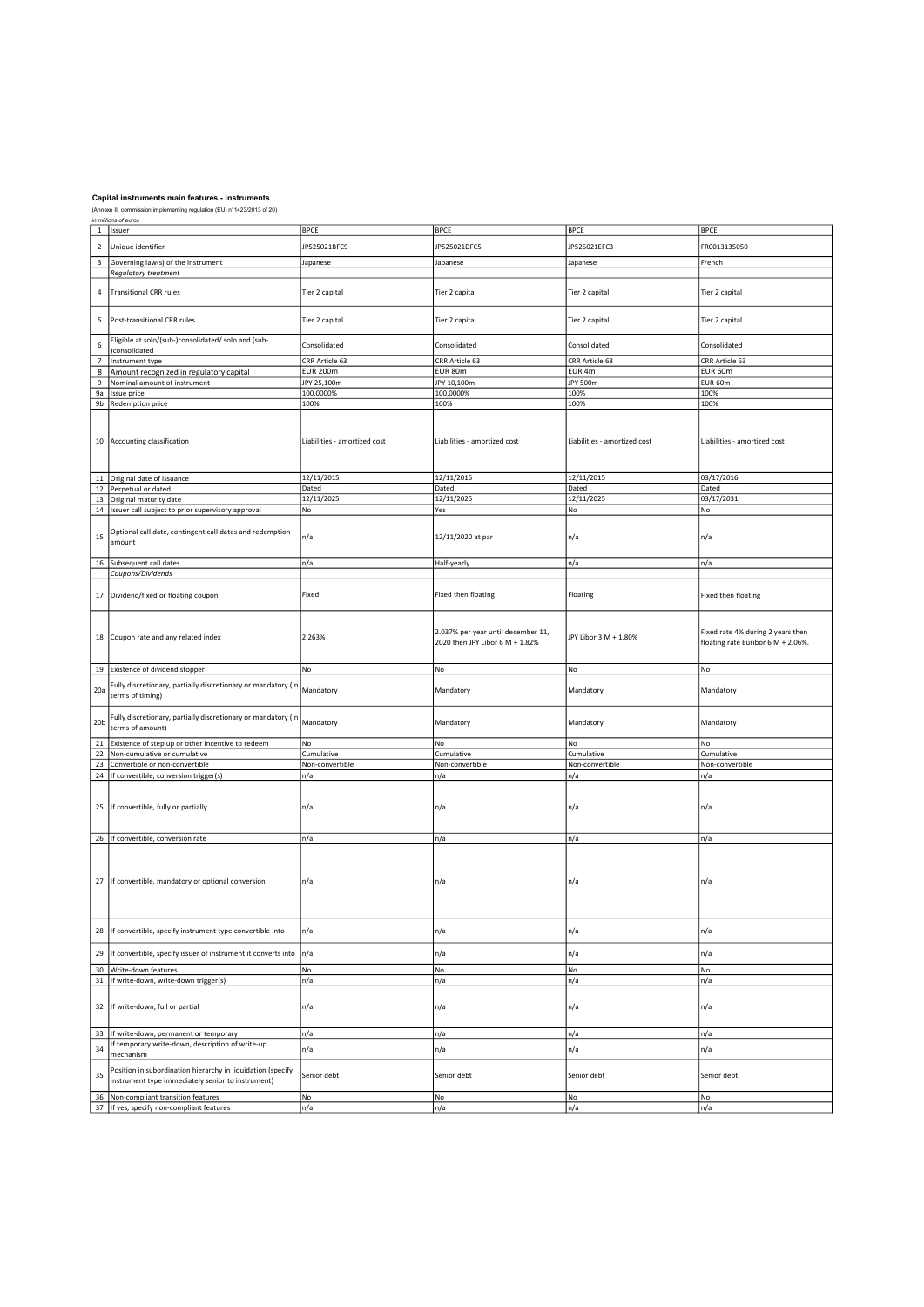| $\mathbf 1$              | ın miiions or euros<br>Issuer                                 | <b>BPCE</b>                  | <b>BPCE</b>                        | <b>BPCE</b>                  | <b>BPCE</b>                        |
|--------------------------|---------------------------------------------------------------|------------------------------|------------------------------------|------------------------------|------------------------------------|
|                          |                                                               |                              |                                    |                              |                                    |
| $\overline{2}$           | Unique identifier                                             | JP525021BFC9                 | JP525021DFC5                       | JP525021EFC3                 | FR0013135050                       |
|                          |                                                               |                              |                                    |                              |                                    |
|                          | 3 Governing law(s) of the instrument                          | Japanese                     | Japanese                           | Japanese                     | French                             |
|                          | Regulatory treatment                                          |                              |                                    |                              |                                    |
|                          |                                                               |                              |                                    |                              |                                    |
| $\sqrt{4}$               | <b>Transitional CRR rules</b>                                 | Tier 2 capital               | Tier 2 capital                     | Tier 2 capital               | Tier 2 capital                     |
|                          |                                                               |                              |                                    |                              |                                    |
|                          |                                                               |                              |                                    |                              |                                    |
| 5                        | Post-transitional CRR rules                                   | Tier 2 capital               | Tier 2 capital                     | Tier 2 capital               | Tier 2 capital                     |
|                          |                                                               |                              |                                    |                              |                                    |
| 6                        | Eligible at solo/(sub-)consolidated/ solo and (sub-           | Consolidated                 | Consolidated                       | Consolidated                 | Consolidated                       |
|                          | consolidated                                                  |                              |                                    |                              |                                    |
| $\overline{\phantom{a}}$ | Instrument type                                               | CRR Article 63               | CRR Article 63                     | CRR Article 63               | CRR Article 63                     |
| 8                        | Amount recognized in regulatory capital                       | <b>EUR 200m</b>              | EUR 80m                            | EUR <sub>4m</sub>            | EUR 60m                            |
| $\boldsymbol{9}$         | Nominal amount of instrument                                  | JPY 25,100m                  | JPY 10,100m                        | JPY 500m                     | EUR 60m                            |
| 9a                       | Issue price                                                   | 100,0000%                    | 100,0000%                          | 100%                         | 100%                               |
| 9 <sub>b</sub>           | Redemption price                                              | 100%                         | 100%                               | 100%                         | 100%                               |
|                          |                                                               |                              |                                    |                              |                                    |
|                          |                                                               |                              |                                    |                              |                                    |
|                          |                                                               |                              |                                    |                              |                                    |
|                          | 10 Accounting classification                                  | Liabilities - amortized cost | Liabilities - amortized cost       | Liabilities - amortized cost | Liabilities - amortized cost       |
|                          |                                                               |                              |                                    |                              |                                    |
|                          |                                                               |                              |                                    |                              |                                    |
|                          |                                                               |                              |                                    |                              |                                    |
|                          | 11 Original date of issuance                                  | 12/11/2015                   | 12/11/2015                         | 12/11/2015                   | 03/17/2016                         |
|                          | 12 Perpetual or dated                                         | Dated                        | Dated                              | Dated                        | Dated                              |
|                          | 13 Original maturity date                                     | 12/11/2025                   | 12/11/2025                         | 12/11/2025                   | 03/17/2031                         |
|                          | 14 Issuer call subject to prior supervisory approval          | No                           | Yes                                | No                           | No                                 |
|                          |                                                               |                              |                                    |                              |                                    |
|                          |                                                               |                              |                                    |                              |                                    |
| 15                       | Optional call date, contingent call dates and redemption      | n/a                          | 12/11/2020 at par                  | n/a                          | n/a                                |
|                          | amount                                                        |                              |                                    |                              |                                    |
|                          |                                                               |                              |                                    |                              |                                    |
|                          | 16 Subsequent call dates                                      | n/a                          | Half-yearly                        | n/a                          | n/a                                |
|                          | Coupons/Dividends                                             |                              |                                    |                              |                                    |
|                          |                                                               |                              |                                    |                              |                                    |
| $17\,$                   | Dividend/fixed or floating coupon                             | Fixed                        | Fixed then floating                | Floating                     | Fixed then floating                |
|                          |                                                               |                              |                                    |                              |                                    |
|                          |                                                               |                              |                                    |                              |                                    |
|                          |                                                               |                              |                                    |                              |                                    |
|                          | 18 Coupon rate and any related index                          | 2,263%                       | 2.037% per year until december 11, | JPY Libor 3 M + 1.80%        | Fixed rate 4% during 2 years then  |
|                          |                                                               |                              | 2020 then JPY Libor 6 M + 1.82%    |                              | floating rate Euribor 6 M + 2.06%. |
|                          |                                                               |                              |                                    |                              |                                    |
|                          |                                                               | No                           | No                                 | No                           | No                                 |
|                          | 19 Existence of dividend stopper                              |                              |                                    |                              |                                    |
|                          | Fully discretionary, partially discretionary or mandatory (in |                              |                                    |                              |                                    |
| 20a                      | terms of timing)                                              | Mandatory                    | Mandatory                          | Mandatory                    | Mandatory                          |
|                          |                                                               |                              |                                    |                              |                                    |
|                          | Fully discretionary, partially discretionary or mandatory (in |                              |                                    |                              |                                    |
| 20 <sub>b</sub>          | terms of amount)                                              | Mandatory                    | Mandatory                          | Mandatory                    | Mandatory                          |
|                          |                                                               |                              |                                    |                              |                                    |
| 21                       | Existence of step up or other incentive to redeem             | No                           | No                                 | No                           | No                                 |
| 22                       | Non-cumulative or cumulative                                  | Cumulative                   | Cumulative                         | Cumulative                   | Cumulative                         |
| 23                       | Convertible or non-convertible                                | Non-convertible              | Non-convertible                    | Non-convertible              | Non-convertible                    |
|                          | 24 If convertible, conversion trigger(s)                      | n/a                          | n/a                                | n/a                          | n/a                                |
|                          |                                                               |                              |                                    |                              |                                    |
|                          |                                                               |                              |                                    |                              |                                    |
|                          | 25 If convertible, fully or partially                         | n/a                          | n/a                                | n/a                          | n/a                                |
|                          |                                                               |                              |                                    |                              |                                    |
|                          |                                                               |                              |                                    |                              |                                    |
|                          | 26 If convertible, conversion rate                            | n/a                          | n/a                                | n/a                          | n/a                                |
|                          |                                                               |                              |                                    |                              |                                    |
|                          |                                                               |                              |                                    |                              |                                    |
|                          |                                                               |                              |                                    |                              |                                    |
|                          |                                                               |                              |                                    |                              |                                    |
| 27                       | If convertible, mandatory or optional conversion              | n/a                          | n/a                                | n/a                          | n/a                                |
|                          |                                                               |                              |                                    |                              |                                    |
|                          |                                                               |                              |                                    |                              |                                    |
|                          |                                                               |                              |                                    |                              |                                    |
|                          |                                                               |                              |                                    |                              |                                    |
| 28                       | If convertible, specify instrument type convertible into      | n/a                          | n/a                                | n/a                          | n/a                                |
|                          |                                                               |                              |                                    |                              |                                    |
| 29                       | If convertible, specify issuer of instrument it converts into | n/a                          | n/a                                | n/a                          | n/a                                |
|                          |                                                               |                              |                                    |                              |                                    |
|                          | 30 Write-down features                                        | No                           | No                                 | No                           | No                                 |
| 31                       | If write-down, write-down trigger(s)                          | n/a                          | n/a                                | n/a                          | n/a                                |
|                          |                                                               |                              |                                    |                              |                                    |
| 32                       | If write-down, full or partial                                | n/a                          | n/a                                | n/a                          | n/a                                |
|                          |                                                               |                              |                                    |                              |                                    |
|                          |                                                               |                              |                                    |                              |                                    |
| 33                       | If write-down, permanent or temporary                         | n/a                          | n/a                                | n/a                          | n/a                                |
|                          | If temporary write-down, description of write-up              |                              |                                    |                              |                                    |
| 34                       | mechanism                                                     | n/a                          | n/a                                | n/a                          | n/a                                |
|                          |                                                               |                              |                                    |                              |                                    |
| 35                       | Position in subordination hierarchy in liquidation (specify   | Senior debt                  | Senior debt                        | Senior debt                  | Senior debt                        |
|                          | instrument type immediately senior to instrument)             |                              |                                    |                              |                                    |
| 36                       | Non-compliant transition features                             |                              |                                    |                              | No                                 |
|                          |                                                               | No                           | No                                 | No                           |                                    |
|                          | 37 If yes, specify non-compliant features                     | n/a                          | n/a                                | n/a                          | n/a                                |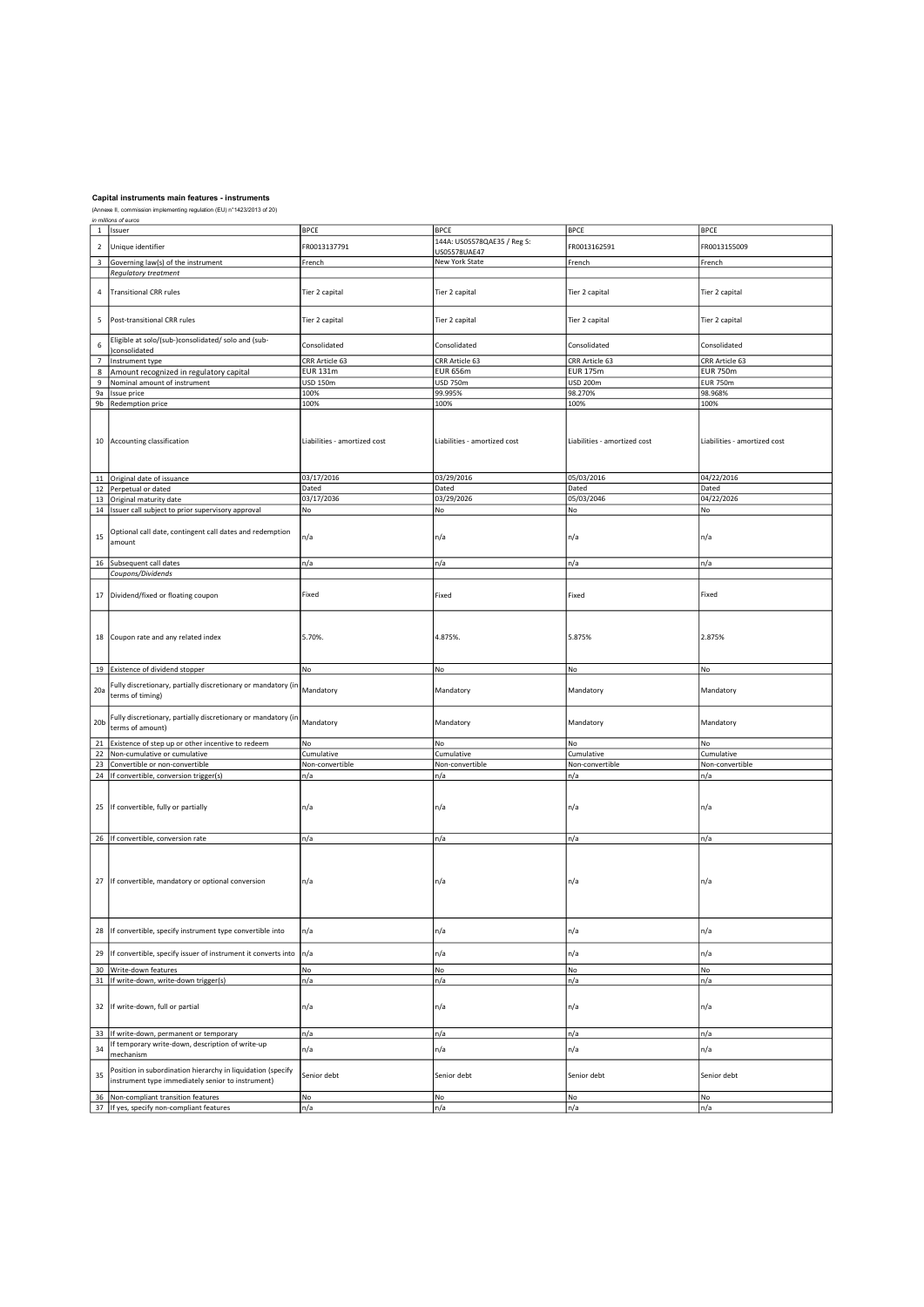|                          | in millions of euros                                          |                              |                              |                              |                              |
|--------------------------|---------------------------------------------------------------|------------------------------|------------------------------|------------------------------|------------------------------|
| $\mathbf{1}$             | Issuer                                                        | <b>BPCE</b>                  | <b>BPCE</b>                  | <b>BPCE</b>                  | <b>BPCE</b>                  |
|                          |                                                               |                              | 144A: US05578QAE35 / Reg S:  |                              |                              |
| $\sqrt{2}$               | Unique identifier                                             | FR0013137791                 | US05578UAE47                 | FR0013162591                 | FR0013155009                 |
|                          |                                                               |                              | New York State               |                              |                              |
| $\overline{\mathbf{3}}$  | Governing law(s) of the instrument                            | French                       |                              | French                       | French                       |
|                          | Regulatory treatment                                          |                              |                              |                              |                              |
|                          |                                                               |                              |                              |                              |                              |
| $\sqrt{4}$               | <b>Transitional CRR rules</b>                                 | Tier 2 capital               | Tier 2 capital               | Tier 2 capital               | Tier 2 capital               |
|                          |                                                               |                              |                              |                              |                              |
|                          |                                                               |                              |                              |                              |                              |
| 5                        | Post-transitional CRR rules                                   | Tier 2 capital               | Tier 2 capital               | Tier 2 capital               | Tier 2 capital               |
|                          |                                                               |                              |                              |                              |                              |
|                          |                                                               |                              |                              |                              |                              |
| 6                        | Eligible at solo/(sub-)consolidated/ solo and (sub-           | Consolidated                 | Consolidated                 | Consolidated                 | Consolidated                 |
|                          | )consolidated                                                 |                              |                              |                              |                              |
| $\overline{\phantom{a}}$ | Instrument type                                               | CRR Article 63               | CRR Article 63               | CRR Article 63               | CRR Article 63               |
| 8                        | Amount recognized in regulatory capital                       | <b>EUR 131m</b>              | <b>EUR 656m</b>              | <b>EUR 175m</b>              | <b>EUR 750m</b>              |
| 9                        | Nominal amount of instrument                                  | USD 150m                     | <b>USD 750m</b>              | <b>USD 200m</b>              | <b>EUR 750m</b>              |
|                          |                                                               |                              |                              |                              |                              |
| 9a                       | Issue price                                                   | 100%                         | 99.995%                      | 98.270%                      | 98.968%                      |
|                          | 9b Redemption price                                           | 100%                         | 100%                         | 100%                         | 100%                         |
|                          |                                                               |                              |                              |                              |                              |
|                          |                                                               |                              |                              |                              |                              |
|                          |                                                               |                              |                              |                              |                              |
|                          | 10 Accounting classification                                  | Liabilities - amortized cost | Liabilities - amortized cost | Liabilities - amortized cost | Liabilities - amortized cost |
|                          |                                                               |                              |                              |                              |                              |
|                          |                                                               |                              |                              |                              |                              |
|                          |                                                               |                              |                              |                              |                              |
|                          | 11 Original date of issuance                                  | 03/17/2016                   | 03/29/2016                   | 05/03/2016                   | 04/22/2016                   |
|                          |                                                               |                              |                              |                              |                              |
|                          | 12 Perpetual or dated                                         | Dated                        | Dated                        | Dated                        | Dated                        |
|                          | 13 Original maturity date                                     | 03/17/2036                   | 03/29/2026                   | 05/03/2046                   | 04/22/2026                   |
|                          | 14   Issuer call subject to prior supervisory approval        | No                           | No                           | No                           | No                           |
|                          |                                                               |                              |                              |                              |                              |
|                          |                                                               |                              |                              |                              |                              |
| 15                       | Optional call date, contingent call dates and redemption      | n/a                          | n/a                          | n/a                          | n/a                          |
|                          | amount                                                        |                              |                              |                              |                              |
|                          |                                                               |                              |                              |                              |                              |
|                          | 16 Subsequent call dates                                      | n/a                          | n/a                          | n/a                          | n/a                          |
|                          | Coupons/Dividends                                             |                              |                              |                              |                              |
|                          |                                                               |                              |                              |                              |                              |
|                          |                                                               |                              |                              |                              |                              |
| 17                       | Dividend/fixed or floating coupon                             | Fixed                        | Fixed                        | Fixed                        | Fixed                        |
|                          |                                                               |                              |                              |                              |                              |
|                          |                                                               |                              |                              |                              |                              |
|                          |                                                               |                              |                              |                              |                              |
|                          |                                                               |                              |                              |                              |                              |
|                          | 18 Coupon rate and any related index                          | 5.70%.                       | 4.875%.                      | 5.875%                       | 2.875%                       |
|                          |                                                               |                              |                              |                              |                              |
|                          |                                                               |                              |                              |                              |                              |
|                          | 19 Existence of dividend stopper                              | No                           | No                           | No                           | No                           |
|                          |                                                               |                              |                              |                              |                              |
|                          | Fully discretionary, partially discretionary or mandatory (in |                              |                              |                              |                              |
| 20a                      | terms of timing)                                              | Mandatory                    | Mandatory                    | Mandatory                    | Mandatory                    |
|                          |                                                               |                              |                              |                              |                              |
|                          |                                                               |                              |                              |                              |                              |
| 20 <sub>b</sub>          | Fully discretionary, partially discretionary or mandatory (in | Mandatory                    |                              |                              | Mandatory                    |
|                          | terms of amount)                                              |                              | Mandatory                    | Mandatory                    |                              |
|                          |                                                               |                              |                              |                              |                              |
|                          | 21 Existence of step up or other incentive to redeem          | No                           | No                           | No                           | No                           |
|                          | 22 Non-cumulative or cumulative                               | Cumulative                   | Cumulative                   | Cumulative                   | Cumulative                   |
| 23                       | Convertible or non-convertible                                | Non-convertible              | Non-convertible              | Non-convertible              | Non-convertible              |
|                          | 24   If convertible, conversion trigger(s)                    | n/a                          | n/a                          | n/a                          | n/a                          |
|                          |                                                               |                              |                              |                              |                              |
|                          |                                                               |                              |                              |                              |                              |
|                          |                                                               |                              |                              |                              |                              |
|                          | 25 If convertible, fully or partially                         | n/a                          | n/a                          | n/a                          | n/a                          |
|                          |                                                               |                              |                              |                              |                              |
|                          |                                                               |                              |                              |                              |                              |
|                          |                                                               |                              |                              |                              |                              |
|                          | 26   If convertible, conversion rate                          | n/a                          | n/a                          | n/a                          | n/a                          |
|                          |                                                               |                              |                              |                              |                              |
|                          |                                                               |                              |                              |                              |                              |
|                          |                                                               |                              |                              |                              |                              |
|                          |                                                               |                              |                              |                              |                              |
| 27                       | If convertible, mandatory or optional conversion              | n/a                          | n/a                          | n/a                          | n/a                          |
|                          |                                                               |                              |                              |                              |                              |
|                          |                                                               |                              |                              |                              |                              |
|                          |                                                               |                              |                              |                              |                              |
|                          |                                                               |                              |                              |                              |                              |
| 28                       | If convertible, specify instrument type convertible into      | n/a                          | n/a                          | n/a                          | n/a                          |
|                          |                                                               |                              |                              |                              |                              |
|                          |                                                               |                              |                              |                              |                              |
| 29                       | If convertible, specify issuer of instrument it converts into | n/a                          | n/a                          | n/a                          | n/a                          |
|                          | Write-down features                                           |                              |                              |                              | No                           |
| 30                       |                                                               | No                           | No                           | No                           |                              |
| 31                       | If write-down, write-down trigger(s)                          | n/a                          | n/a                          | n/a                          | n/a                          |
|                          |                                                               |                              |                              |                              |                              |
|                          |                                                               |                              |                              |                              |                              |
| 32                       | If write-down, full or partial                                | n/a                          | n/a                          | n/a                          | n/a                          |
|                          |                                                               |                              |                              |                              |                              |
|                          |                                                               |                              |                              |                              |                              |
|                          | 33 If write-down, permanent or temporary                      | n/a                          | n/a                          | n/a                          | n/a                          |
|                          | If temporary write-down, description of write-up              |                              |                              |                              |                              |
| 34                       | mechanism                                                     | n/a                          | n/a                          | n/a                          | n/a                          |
|                          |                                                               |                              |                              |                              |                              |
|                          | Position in subordination hierarchy in liquidation (specify   |                              |                              |                              |                              |
| 35                       | instrument type immediately senior to instrument)             | Senior debt                  | Senior debt                  | Senior debt                  | Senior debt                  |
|                          |                                                               |                              |                              |                              |                              |
| 36                       | Non-compliant transition features                             | No                           | No                           | No                           | No                           |
|                          | 37 If yes, specify non-compliant features                     | n/a                          | n/a                          | n/a                          | n/a                          |
|                          |                                                               |                              |                              |                              |                              |